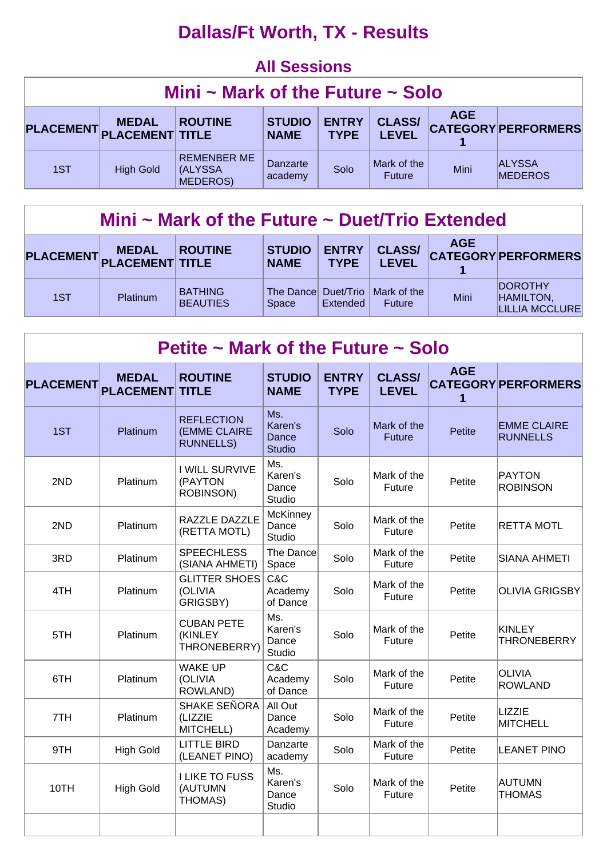## **Dallas/Ft Worth, TX - Results**

#### **All Sessions**

| Mini $\sim$ Mark of the Future $\sim$ Solo                                                                                                                                                              |                  |                                                  |                     |      |                              |      |                                 |  |  |
|---------------------------------------------------------------------------------------------------------------------------------------------------------------------------------------------------------|------------------|--------------------------------------------------|---------------------|------|------------------------------|------|---------------------------------|--|--|
| <b>AGE</b><br><b>CLASS/</b><br><b>ENTRY</b><br><b>STUDIO</b><br><b>ROUTINE</b><br><b>MEDAL</b><br><b>CATEGORY PERFORMERS</b><br>PLACEMENT PLACEMENT TITLE<br><b>LEVEL</b><br><b>NAME</b><br><b>TYPE</b> |                  |                                                  |                     |      |                              |      |                                 |  |  |
| 1ST                                                                                                                                                                                                     | <b>High Gold</b> | <b>REMENBER ME</b><br>(ALYSSA<br><b>MEDEROS)</b> | Danzarte<br>academy | Solo | Mark of the<br><b>Future</b> | Mini | <b>ALYSSA</b><br><b>MEDEROS</b> |  |  |

### **Mini ~ Mark of the Future ~ Duet/Trio Extended**

|     | <b>MEDAL</b><br>PLACEMENT PLACEMENT TITLE | <b>ROUTINE</b>                    | <b>STUDIO</b><br><b>NAME</b> | <b>ENTRY</b><br><b>TYPF</b> | <b>CLASS/</b><br><b>LEVEL</b>               | <b>AGE</b> | <b>CATEGORY PERFORMERS</b>                     |
|-----|-------------------------------------------|-----------------------------------|------------------------------|-----------------------------|---------------------------------------------|------------|------------------------------------------------|
| 1ST | <b>Platinum</b>                           | <b>BATHING</b><br><b>BEAUTIES</b> | <b>Space</b>                 | Extended                    | The Dance Duet/Trio   Mark of the<br>Future | Mini       | <b>IDOROTHY</b><br>HAMILTON,<br>LILLIA MCCLURE |

| Petite ~ Mark of the Future ~ Solo |                                  |                                                              |                                          |                             |                               |                 |                                       |  |  |  |
|------------------------------------|----------------------------------|--------------------------------------------------------------|------------------------------------------|-----------------------------|-------------------------------|-----------------|---------------------------------------|--|--|--|
| <b>PLACEMENT</b>                   | <b>MEDAL</b><br><b>PLACEMENT</b> | <b>ROUTINE</b><br><b>TITLE</b>                               | <b>STUDIO</b><br><b>NAME</b>             | <b>ENTRY</b><br><b>TYPE</b> | <b>CLASS/</b><br><b>LEVEL</b> | <b>AGE</b><br>1 | <b>CATEGORY PERFORMERS</b>            |  |  |  |
| 1ST                                | Platinum                         | <b>REFLECTION</b><br><b>(EMME CLAIRE</b><br><b>RUNNELLS)</b> | Ms.<br>Karen's<br>Dance<br><b>Studio</b> | Solo                        | Mark of the<br><b>Future</b>  | <b>Petite</b>   | <b>EMME CLAIRE</b><br><b>RUNNELLS</b> |  |  |  |
| 2ND                                | Platinum                         | <b>I WILL SURVIVE</b><br>(PAYTON<br><b>ROBINSON)</b>         | Ms.<br>Karen's<br>Dance<br>Studio        | Solo                        | Mark of the<br>Future         | Petite          | PAYTON<br><b>ROBINSON</b>             |  |  |  |
| 2ND                                | Platinum                         | RAZZLE DAZZLE<br>(RETTA MOTL)                                | <b>McKinney</b><br>Dance<br>Studio       | Solo                        | Mark of the<br>Future         | Petite          | <b>RETTA MOTL</b>                     |  |  |  |
| 3RD                                | Platinum                         | <b>SPEECHLESS</b><br>(SIANA AHMETI)                          | The Dance<br>Space                       | Solo                        | Mark of the<br>Future         | Petite          | <b>SIANA AHMETI</b>                   |  |  |  |
| 4TH                                | Platinum                         | <b>GLITTER SHOES</b><br>(OLIVIA<br>GRIGSBY)                  | C&C<br>Academy<br>of Dance               | Solo                        | Mark of the<br>Future         | Petite          | <b>OLIVIA GRIGSBY</b>                 |  |  |  |
| 5TH                                | Platinum                         | <b>CUBAN PETE</b><br>(KINLEY<br>THRONEBERRY)                 | Ms.<br>Karen's<br>Dance<br>Studio        | Solo                        | Mark of the<br>Future         | Petite          | <b>KINLEY</b><br><b>THRONEBERRY</b>   |  |  |  |
| 6TH                                | Platinum                         | <b>WAKE UP</b><br>(OLIVIA<br>ROWLAND)                        | C&C<br>Academy<br>of Dance               | Solo                        | Mark of the<br>Future         | Petite          | <b>OLIVIA</b><br><b>ROWLAND</b>       |  |  |  |
| 7TH                                | Platinum                         | <b>SHAKE SEÑORA</b><br>(LIZZIE<br>MITCHELL)                  | All Out<br>Dance<br>Academy              | Solo                        | Mark of the<br>Future         | Petite          | LIZZIE<br><b>MITCHELL</b>             |  |  |  |
| 9TH                                | <b>High Gold</b>                 | <b>LITTLE BIRD</b><br>(LEANET PINO)                          | Danzarte<br>academy                      | Solo                        | Mark of the<br>Future         | Petite          | <b>LEANET PINO</b>                    |  |  |  |
| 10TH                               | <b>High Gold</b>                 | <b>I LIKE TO FUSS</b><br>(AUTUMN<br>THOMAS)                  | Ms.<br>Karen's<br>Dance<br>Studio        | Solo                        | Mark of the<br>Future         | Petite          | AUTUMN<br><b>THOMAS</b>               |  |  |  |
|                                    |                                  |                                                              |                                          |                             |                               |                 |                                       |  |  |  |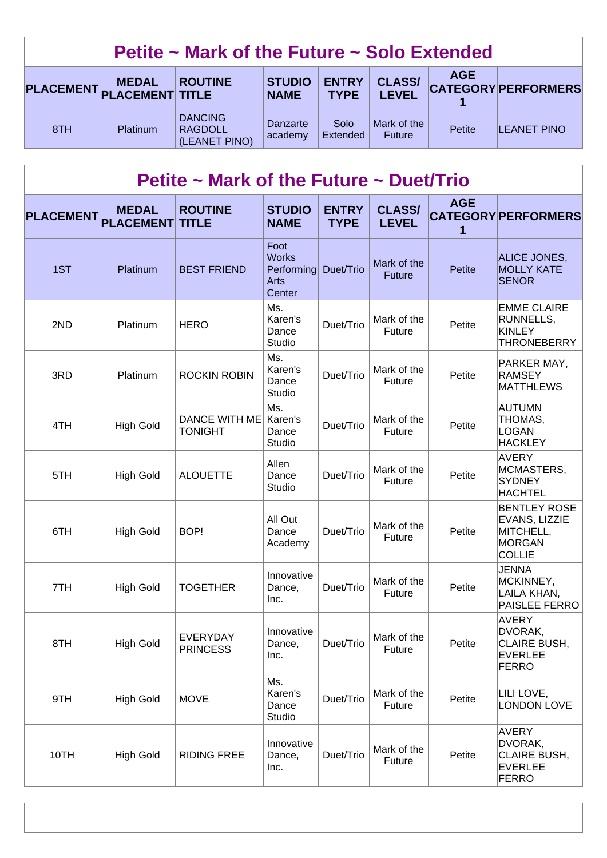| Petite $\sim$ Mark of the Future $\sim$ Solo Extended                                                                                                                                                   |          |                                                   |                     |                  |                       |        |                    |  |
|---------------------------------------------------------------------------------------------------------------------------------------------------------------------------------------------------------|----------|---------------------------------------------------|---------------------|------------------|-----------------------|--------|--------------------|--|
| <b>AGE</b><br><b>CLASS/</b><br><b>ENTRY</b><br><b>STUDIO</b><br><b>ROUTINE</b><br><b>MEDAL</b><br><b>CATEGORY PERFORMERS</b><br>PLACEMENT PLACEMENT TITLE<br><b>LEVEL</b><br><b>NAME</b><br><b>TYPE</b> |          |                                                   |                     |                  |                       |        |                    |  |
| 8TH                                                                                                                                                                                                     | Platinum | <b>DANCING</b><br><b>RAGDOLL</b><br>(LEANET PINO) | Danzarte<br>academy | Solo<br>Extended | Mark of the<br>Future | Petite | <b>LEANET PINO</b> |  |

## **Petite ~ Mark of the Future ~ Duet/Trio**

| <b>PLACEMENT</b> | <b>MEDAL</b><br><b>PLACEMENT</b> | <b>ROUTINE</b><br><b>TITLE</b>     | <b>STUDIO</b><br><b>NAME</b>                         | <b>ENTRY</b><br><b>TYPE</b> | <b>CLASS/</b><br><b>LEVEL</b> | <b>AGE</b><br>1 | <b>CATEGORY PERFORMERS</b>                                                          |
|------------------|----------------------------------|------------------------------------|------------------------------------------------------|-----------------------------|-------------------------------|-----------------|-------------------------------------------------------------------------------------|
| 1ST              | Platinum                         | <b>BEST FRIEND</b>                 | Foot<br><b>Works</b><br>Performing<br>Arts<br>Center | Duet/Trio                   | Mark of the<br><b>Future</b>  | <b>Petite</b>   | ALICE JONES,<br><b>MOLLY KATE</b><br><b>SENOR</b>                                   |
| 2ND              | Platinum                         | <b>HERO</b>                        | Ms.<br>Karen's<br>Dance<br>Studio                    | Duet/Trio                   | Mark of the<br>Future         | Petite          | <b>EMME CLAIRE</b><br>RUNNELLS,<br><b>KINLEY</b><br><b>THRONEBERRY</b>              |
| 3RD              | Platinum                         | <b>ROCKIN ROBIN</b>                | Ms.<br>Karen's<br>Dance<br>Studio                    | Duet/Trio                   | Mark of the<br><b>Future</b>  | Petite          | PARKER MAY,<br><b>RAMSEY</b><br><b>MATTHLEWS</b>                                    |
| 4TH              | <b>High Gold</b>                 | DANCE WITH ME<br><b>TONIGHT</b>    | Ms.<br>Karen's<br>Dance<br>Studio                    | Duet/Trio                   | Mark of the<br><b>Future</b>  | Petite          | <b>AUTUMN</b><br>THOMAS,<br><b>LOGAN</b><br><b>HACKLEY</b>                          |
| 5TH              | <b>High Gold</b>                 | <b>ALOUETTE</b>                    | Allen<br>Dance<br>Studio                             | Duet/Trio                   | Mark of the<br><b>Future</b>  | Petite          | <b>AVERY</b><br>MCMASTERS,<br><b>SYDNEY</b><br><b>HACHTEL</b>                       |
| 6TH              | <b>High Gold</b>                 | BOP!                               | All Out<br>Dance<br>Academy                          | Duet/Trio                   | Mark of the<br>Future         | Petite          | <b>BENTLEY ROSE</b><br>EVANS, LIZZIE<br>MITCHELL,<br><b>MORGAN</b><br><b>COLLIE</b> |
| 7TH              | <b>High Gold</b>                 | <b>TOGETHER</b>                    | Innovative<br>Dance,<br>Inc.                         | Duet/Trio                   | Mark of the<br><b>Future</b>  | Petite          | <b>JENNA</b><br>MCKINNEY,<br>LAILA KHAN,<br>PAISLEE FERRO                           |
| 8TH              | <b>High Gold</b>                 | <b>EVERYDAY</b><br><b>PRINCESS</b> | Innovative<br>Dance,<br>Inc.                         | Duet/Trio                   | Mark of the<br>Future         | Petite          | <b>AVERY</b><br>DVORAK,<br>CLAIRE BUSH,<br><b>EVERLEE</b><br><b>FERRO</b>           |
| 9TH              | <b>High Gold</b>                 | <b>MOVE</b>                        | Ms.<br>Karen's<br>Dance<br>Studio                    | Duet/Trio                   | Mark of the<br>Future         | Petite          | LILI LOVE,<br><b>LONDON LOVE</b>                                                    |
| 10TH             | <b>High Gold</b>                 | <b>RIDING FREE</b>                 | Innovative<br>Dance,<br>Inc.                         | Duet/Trio                   | Mark of the<br>Future         | Petite          | <b>AVERY</b><br>DVORAK,<br>CLAIRE BUSH,<br><b>EVERLEE</b><br><b>FERRO</b>           |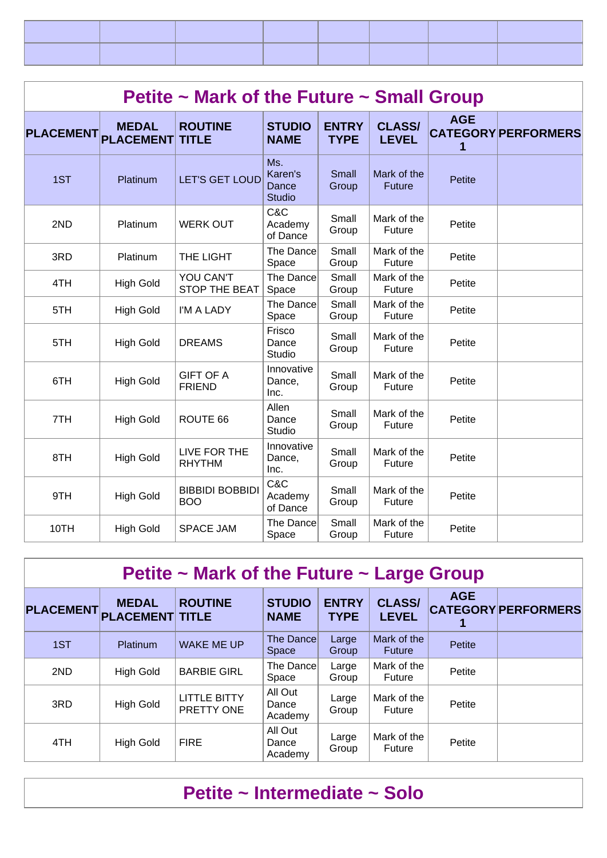|                     | Petite ~ Mark of the Future ~ Small Group |                                      |                                          |                             |                               |                 |                            |  |  |  |  |
|---------------------|-------------------------------------------|--------------------------------------|------------------------------------------|-----------------------------|-------------------------------|-----------------|----------------------------|--|--|--|--|
| PLACEMENT PLACEMENT | <b>MEDAL</b>                              | <b>ROUTINE</b><br><b>TITLE</b>       | <b>STUDIO</b><br><b>NAME</b>             | <b>ENTRY</b><br><b>TYPE</b> | <b>CLASS/</b><br><b>LEVEL</b> | <b>AGE</b><br>1 | <b>CATEGORY PERFORMERS</b> |  |  |  |  |
| 1ST                 | Platinum                                  | <b>LET'S GET LOUD</b>                | Ms.<br>Karen's<br>Dance<br><b>Studio</b> | Small<br>Group              | Mark of the<br><b>Future</b>  | <b>Petite</b>   |                            |  |  |  |  |
| 2ND                 | Platinum                                  | <b>WERK OUT</b>                      | C&C<br>Academy<br>of Dance               | Small<br>Group              | Mark of the<br>Future         | Petite          |                            |  |  |  |  |
| 3RD                 | Platinum                                  | THE LIGHT                            | The Dance<br>Space                       | Small<br>Group              | Mark of the<br>Future         | Petite          |                            |  |  |  |  |
| 4TH                 | <b>High Gold</b>                          | YOU CAN'T<br><b>STOP THE BEAT</b>    | The Dance<br>Space                       | Small<br>Group              | Mark of the<br>Future         | Petite          |                            |  |  |  |  |
| 5TH                 | <b>High Gold</b>                          | I'M A LADY                           | The Dance<br>Space                       | Small<br>Group              | Mark of the<br>Future         | Petite          |                            |  |  |  |  |
| 5TH                 | <b>High Gold</b>                          | <b>DREAMS</b>                        | Frisco<br>Dance<br>Studio                | Small<br>Group              | Mark of the<br>Future         | Petite          |                            |  |  |  |  |
| 6TH                 | <b>High Gold</b>                          | <b>GIFT OF A</b><br><b>FRIEND</b>    | Innovative<br>Dance,<br>Inc.             | Small<br>Group              | Mark of the<br>Future         | Petite          |                            |  |  |  |  |
| 7TH                 | <b>High Gold</b>                          | ROUTE 66                             | Allen<br>Dance<br><b>Studio</b>          | Small<br>Group              | Mark of the<br>Future         | Petite          |                            |  |  |  |  |
| 8TH                 | <b>High Gold</b>                          | LIVE FOR THE<br><b>RHYTHM</b>        | Innovative<br>Dance,<br>Inc.             | Small<br>Group              | Mark of the<br>Future         | Petite          |                            |  |  |  |  |
| 9TH                 | <b>High Gold</b>                          | <b>BIBBIDI BOBBIDI</b><br><b>BOO</b> | C&C<br>Academy<br>of Dance               | Small<br>Group              | Mark of the<br>Future         | Petite          |                            |  |  |  |  |
| 10TH                | <b>High Gold</b>                          | <b>SPACE JAM</b>                     | The Dance<br>Space                       | Small<br>Group              | Mark of the<br>Future         | Petite          |                            |  |  |  |  |

| Petite $\sim$ Mark of the Future $\sim$ Large Group |                                        |                                   |                                  |                             |                               |               |                            |  |  |  |
|-----------------------------------------------------|----------------------------------------|-----------------------------------|----------------------------------|-----------------------------|-------------------------------|---------------|----------------------------|--|--|--|
| <b>PLACEMENT</b>                                    | <b>MEDAL</b><br><b>PLACEMENT TITLE</b> | <b>ROUTINE</b>                    | <b>STUDIO</b><br><b>NAME</b>     | <b>ENTRY</b><br><b>TYPE</b> | <b>CLASS/</b><br><b>LEVEL</b> | <b>AGE</b>    | <b>CATEGORY PERFORMERS</b> |  |  |  |
| 1ST                                                 | Platinum                               | <b>WAKE ME UP</b>                 | <b>The Dance</b><br><b>Space</b> | Large<br>Group              | Mark of the<br><b>Future</b>  | <b>Petite</b> |                            |  |  |  |
| 2ND                                                 | <b>High Gold</b>                       | <b>BARBIE GIRL</b>                | The Dance<br>Space               | Large<br>Group              | Mark of the<br>Future         | Petite        |                            |  |  |  |
| 3RD                                                 | <b>High Gold</b>                       | <b>LITTLE BITTY</b><br>PRETTY ONE | All Out<br>Dance<br>Academy      | Large<br>Group              | Mark of the<br>Future         | Petite        |                            |  |  |  |
| 4TH                                                 | <b>High Gold</b>                       | <b>FIRE</b>                       | All Out<br>Dance<br>Academy      | Large<br>Group              | Mark of the<br>Future         | Petite        |                            |  |  |  |

## **Petite ~ Intermediate ~ Solo**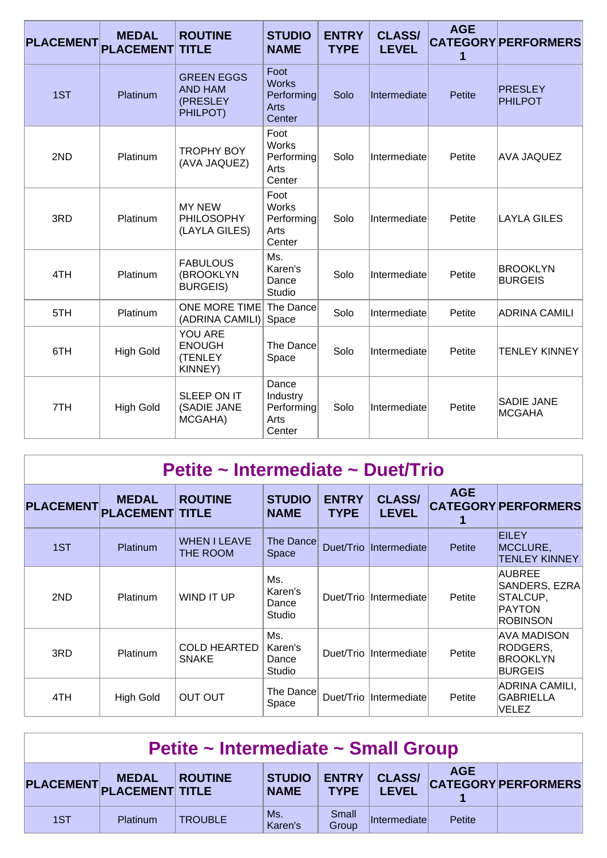| <b>PLACEMENT</b> | <b>MEDAL</b><br><b>PLACEMENT</b> | <b>ROUTINE</b><br><b>TITLE</b>                              | <b>STUDIO</b><br><b>NAME</b>                         | <b>ENTRY</b><br><b>TYPE</b> | <b>CLASS/</b><br><b>LEVEL</b> | <b>AGE</b><br>1 | <b>CATEGORY PERFORMERS</b>         |
|------------------|----------------------------------|-------------------------------------------------------------|------------------------------------------------------|-----------------------------|-------------------------------|-----------------|------------------------------------|
| 1ST              | Platinum                         | <b>GREEN EGGS</b><br><b>AND HAM</b><br>(PRESLEY<br>PHILPOT) | Foot<br><b>Works</b><br>Performing<br>Arts<br>Center | Solo                        | Intermediate                  | <b>Petite</b>   | <b>PRESLEY</b><br><b>PHILPOT</b>   |
| 2ND              | Platinum                         | <b>TROPHY BOY</b><br>(AVA JAQUEZ)                           | Foot<br><b>Works</b><br>Performing<br>Arts<br>Center | Solo                        | Intermediate                  | Petite          | <b>AVA JAQUEZ</b>                  |
| 3RD              | Platinum                         | <b>MY NEW</b><br><b>PHILOSOPHY</b><br>(LAYLA GILES)         | Foot<br><b>Works</b><br>Performing<br>Arts<br>Center | Solo                        | Intermediate                  | Petite          | <b>LAYLA GILES</b>                 |
| 4TH              | Platinum                         | <b>FABULOUS</b><br>(BROOKLYN<br><b>BURGEIS)</b>             | Ms.<br>Karen's<br>Dance<br><b>Studio</b>             | Solo                        | Intermediate                  | Petite          | <b>BROOKLYN</b><br><b>BURGEIS</b>  |
| 5TH              | Platinum                         | <b>ONE MORE TIME</b><br>(ADRINA CAMILI)                     | The Dance<br>Space                                   | Solo                        | Intermediate                  | Petite          | <b>ADRINA CAMILI</b>               |
| 6TH              | <b>High Gold</b>                 | YOU ARE<br><b>ENOUGH</b><br>(TENLEY<br>KINNEY)              | The Dance<br>Space                                   | Solo                        | Intermediate                  | Petite          | <b>TENLEY KINNEY</b>               |
| 7TH              | <b>High Gold</b>                 | SLEEP ON IT<br>(SADIE JANE<br>MCGAHA)                       | Dance<br>Industry<br>Performing<br>Arts<br>Center    | Solo                        | Intermediate                  | Petite          | <b>SADIE JANE</b><br><b>MCGAHA</b> |

## **Petite ~ Intermediate ~ Duet/Trio**

| <b>PLACEMENT</b> | <b>MEDAL</b><br><b>PLACEMENT TITLE</b> | <b>ROUTINE</b>                      | <b>STUDIO</b><br><b>NAME</b>      | <b>ENTRY</b><br><b>TYPE</b> | <b>CLASS/</b><br><b>LEVEL</b> | <b>AGE</b> | <b>CATEGORY PERFORMERS</b>                                                      |
|------------------|----------------------------------------|-------------------------------------|-----------------------------------|-----------------------------|-------------------------------|------------|---------------------------------------------------------------------------------|
| 1ST              | Platinum                               | <b>WHEN I LEAVE</b><br>THE ROOM     | The Dance<br>Space                |                             | Duet/Trio Intermediate        | Petite     | <b>EILEY</b><br>MCCLURE,<br><b>TENLEY KINNEY</b>                                |
| 2ND              | <b>Platinum</b>                        | WIND IT UP                          | Ms.<br>Karen's<br>Dance<br>Studio |                             | Duet/Trio Intermediate        | Petite     | <b>AUBREE</b><br>SANDERS, EZRA<br> STALCUP,<br><b>PAYTON</b><br><b>ROBINSON</b> |
| 3RD              | Platinum                               | <b>COLD HEARTED</b><br><b>SNAKE</b> | Ms.<br>Karen's<br>Dance<br>Studio |                             | Duet/Trio Intermediate        | Petite     | AVA MADISON<br>RODGERS,<br><b>BROOKLYN</b><br><b>BURGEIS</b>                    |
| 4TH              | <b>High Gold</b>                       | <b>OUT OUT</b>                      | The Dance<br>Space                |                             | Duet/Trio Intermediate        | Petite     | ADRINA CAMILI,<br><b>GABRIELLA</b><br>VELEZ                                     |

| Petite ~ Intermediate ~ Small Group                                                                                                                    |                 |                |                |                |              |        |  |  |  |
|--------------------------------------------------------------------------------------------------------------------------------------------------------|-----------------|----------------|----------------|----------------|--------------|--------|--|--|--|
| <b>AGE</b><br>CLASS/ CATEGORY PERFORMERS<br>STUDIO  <br><b>ENTRY</b><br>PLACEMENT MEDAL ROUTI<br><b>ROUTINE</b><br>LEVEL<br><b>TYPE</b><br><b>NAME</b> |                 |                |                |                |              |        |  |  |  |
| 1ST                                                                                                                                                    | <b>Platinum</b> | <b>TROUBLE</b> | Ms.<br>Karen's | Small<br>Group | Intermediate | Petite |  |  |  |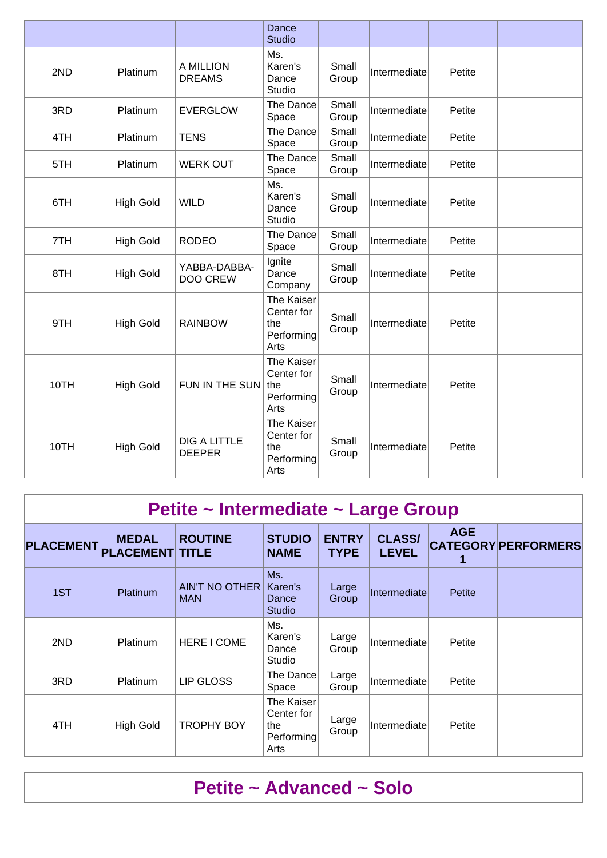|      |                  |                                      | Dance<br><b>Studio</b>                                |                |              |        |  |
|------|------------------|--------------------------------------|-------------------------------------------------------|----------------|--------------|--------|--|
| 2ND  | Platinum         | A MILLION<br><b>DREAMS</b>           | Ms.<br>Karen's<br>Dance<br>Studio                     | Small<br>Group | Intermediate | Petite |  |
| 3RD  | Platinum         | <b>EVERGLOW</b>                      | The Dance<br>Space                                    | Small<br>Group | Intermediate | Petite |  |
| 4TH  | Platinum         | <b>TENS</b>                          | The Dance<br>Space                                    | Small<br>Group | Intermediate | Petite |  |
| 5TH  | Platinum         | <b>WERK OUT</b>                      | The Dance<br>Space                                    | Small<br>Group | Intermediate | Petite |  |
| 6TH  | <b>High Gold</b> | <b>WILD</b>                          | Ms.<br>Karen's<br>Dance<br>Studio                     | Small<br>Group | Intermediate | Petite |  |
| 7TH  | <b>High Gold</b> | <b>RODEO</b>                         | The Dance<br>Space                                    | Small<br>Group | Intermediate | Petite |  |
| 8TH  | <b>High Gold</b> | YABBA-DABBA-<br><b>DOO CREW</b>      | Ignite<br>Dance<br>Company                            | Small<br>Group | Intermediate | Petite |  |
| 9TH  | <b>High Gold</b> | <b>RAINBOW</b>                       | The Kaiser<br>Center for<br>the<br>Performing<br>Arts | Small<br>Group | Intermediate | Petite |  |
| 10TH | <b>High Gold</b> | FUN IN THE SUN                       | The Kaiser<br>Center for<br>the<br>Performing<br>Arts | Small<br>Group | Intermediate | Petite |  |
| 10TH | <b>High Gold</b> | <b>DIG A LITTLE</b><br><b>DEEPER</b> | The Kaiser<br>Center for<br>the<br>Performing<br>Arts | Small<br>Group | Intermediate | Petite |  |

## **Petite ~ Intermediate ~ Large Group**

| <b>PLACEMENT</b> | <b>MEDAL</b><br><b>PLACEMENT TITLE</b> | <b>ROUTINE</b>                      | <b>STUDIO</b><br><b>NAME</b>                          | <b>ENTRY</b><br><b>TYPE</b> | <b>CLASS/</b><br><b>LEVEL</b> | <b>AGE</b> | <b>CATEGORY PERFORMERS</b> |
|------------------|----------------------------------------|-------------------------------------|-------------------------------------------------------|-----------------------------|-------------------------------|------------|----------------------------|
| 1ST              | Platinum                               | <b>AIN'T NO OTHER</b><br><b>MAN</b> | Ms.<br>Karen's<br>Dance<br><b>Studio</b>              | Large<br>Group              | Intermediate                  | Petite     |                            |
| 2ND              | <b>Platinum</b>                        | <b>HERE I COME</b>                  | Ms.<br>Karen's<br>Dance<br>Studio                     | Large<br>Group              | Intermediate                  | Petite     |                            |
| 3RD              | <b>Platinum</b>                        | LIP GLOSS                           | The Dance<br>Space                                    | Large<br>Group              | Intermediate                  | Petite     |                            |
| 4TH              | <b>High Gold</b>                       | <b>TROPHY BOY</b>                   | The Kaiser<br>Center for<br>the<br>Performing<br>Arts | Large<br>Group              | Intermediate                  | Petite     |                            |

## **Petite ~ Advanced ~ Solo**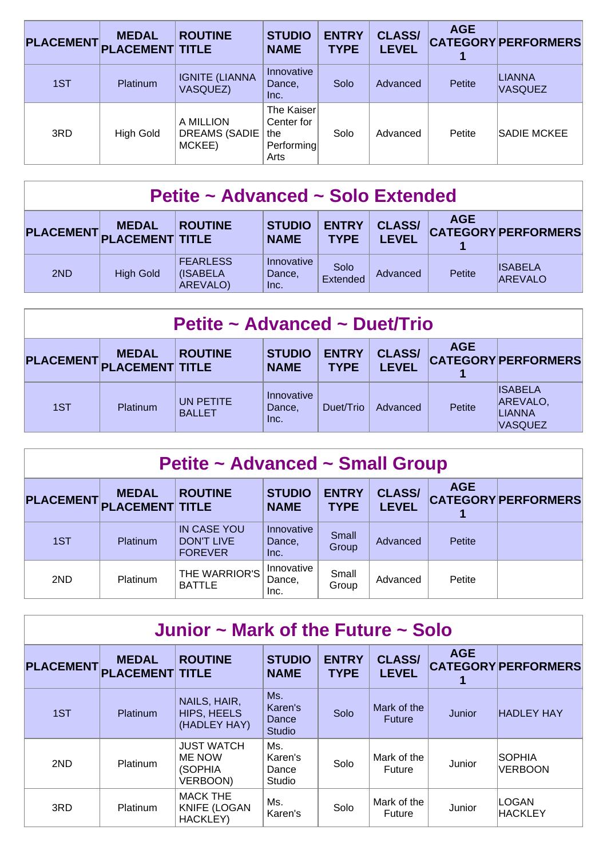| <b>PLACEMENT</b> | <b>MEDAL</b><br><b>PLACEMENT TITLE</b> | <b>ROUTINE</b>                              | <b>STUDIO</b><br><b>NAME</b>                          | <b>ENTRY</b><br><b>TYPE</b> | <b>CLASS/</b><br><b>LEVEL</b> | <b>AGE</b> | <b>CATEGORY PERFORMERS</b> |
|------------------|----------------------------------------|---------------------------------------------|-------------------------------------------------------|-----------------------------|-------------------------------|------------|----------------------------|
| 1ST              | Platinum                               | <b>IGNITE (LIANNA</b><br><b>VASQUEZ)</b>    | Innovative<br>Dance,<br>Inc.                          | Solo                        | Advanced                      | Petite     | LIANNA<br><b>VASQUEZ</b>   |
| 3RD              | High Gold                              | A MILLION<br><b>DREAMS (SADIE</b><br>MCKEE) | The Kaiser<br>Center for<br>the<br>Performing<br>Arts | Solo                        | Advanced                      | Petite     | <b>SADIE MCKEE</b>         |

| Petite ~ Advanced ~ Solo Extended                                                                                                                                                                       |                  |                                         |                              |                  |          |               |                                  |  |  |
|---------------------------------------------------------------------------------------------------------------------------------------------------------------------------------------------------------|------------------|-----------------------------------------|------------------------------|------------------|----------|---------------|----------------------------------|--|--|
| <b>AGE</b><br><b>CLASS/</b><br><b>ENTRY</b><br><b>STUDIO</b><br><b>ROUTINE</b><br><b>MEDAL</b><br><b>CATEGORY PERFORMERS</b><br>PLACEMENT PLACEMENT TITLE<br><b>LEVEL</b><br><b>TYPE</b><br><b>NAME</b> |                  |                                         |                              |                  |          |               |                                  |  |  |
| 2ND                                                                                                                                                                                                     | <b>High Gold</b> | <b>FEARLESS</b><br>(ISABELA<br>AREVALO) | Innovative<br>Dance,<br>Inc. | Solo<br>Extended | Advanced | <b>Petite</b> | <b>ISABELA</b><br><b>AREVALO</b> |  |  |

| Petite ~ Advanced ~ Duet/Trio |                 |                            |                              |                             |                               |            |                                                        |  |  |
|-------------------------------|-----------------|----------------------------|------------------------------|-----------------------------|-------------------------------|------------|--------------------------------------------------------|--|--|
| PLACEMENT PLACEMENT TITLE     | <b>MEDAL</b>    | <b>ROUTINE</b>             | <b>STUDIO</b><br><b>NAME</b> | <b>ENTRY</b><br><b>TYPE</b> | <b>CLASS/</b><br><b>LEVEL</b> | <b>AGE</b> | <b>CATEGORY PERFORMERS</b>                             |  |  |
| 1ST                           | <b>Platinum</b> | UN PETITE<br><b>BALLET</b> | Innovative<br>Dance,<br>Inc. | Duet/Trio                   | Advanced                      | Petite     | <b>ISABELA</b><br>AREVALO,<br>LIANNA<br><b>VASQUEZ</b> |  |  |

| Petite ~ Advanced ~ Small Group                                                                                                                                                                                          |                 |                                                           |                              |                |          |        |  |  |  |  |
|--------------------------------------------------------------------------------------------------------------------------------------------------------------------------------------------------------------------------|-----------------|-----------------------------------------------------------|------------------------------|----------------|----------|--------|--|--|--|--|
| <b>AGE</b><br><b>CLASS/</b><br><b>ENTRY</b><br><b>ROUTINE</b><br><b>STUDIO</b><br><b>MEDAL</b><br><b>CATEGORY PERFORMERS</b><br><b>PLACEMENT</b><br><b>PLACEMENT TITLE</b><br><b>LEVEL</b><br><b>TYPE</b><br><b>NAME</b> |                 |                                                           |                              |                |          |        |  |  |  |  |
| 1ST                                                                                                                                                                                                                      | <b>Platinum</b> | <b>IN CASE YOU</b><br><b>DON'T LIVE</b><br><b>FOREVER</b> | Innovative<br>Dance,<br>Inc. | Small<br>Group | Advanced | Petite |  |  |  |  |
| 2ND                                                                                                                                                                                                                      | Platinum        | THE WARRIOR'S<br><b>BATTLE</b>                            | Innovative<br>Dance,<br>Inc. | Small<br>Group | Advanced | Petite |  |  |  |  |

| Junior $\sim$ Mark of the Future $\sim$ Solo |                                        |                                                    |                                          |                             |                               |               |                                 |  |  |  |
|----------------------------------------------|----------------------------------------|----------------------------------------------------|------------------------------------------|-----------------------------|-------------------------------|---------------|---------------------------------|--|--|--|
| <b>PLACEMENT</b>                             | <b>MEDAL</b><br><b>PLACEMENT TITLE</b> | <b>ROUTINE</b>                                     | <b>STUDIO</b><br><b>NAME</b>             | <b>ENTRY</b><br><b>TYPE</b> | <b>CLASS/</b><br><b>LEVEL</b> | <b>AGE</b>    | <b>CATEGORY PERFORMERS</b>      |  |  |  |
| 1ST                                          | <b>Platinum</b>                        | NAILS, HAIR,<br><b>HIPS, HEELS</b><br>(HADLEY HAY) | Ms.<br>Karen's<br>Dance<br><b>Studio</b> | Solo                        | Mark of the<br>Future         | <b>Junior</b> | <b>HADLEY HAY</b>               |  |  |  |
| 2ND                                          | <b>Platinum</b>                        | <b>JUST WATCH</b><br>ME NOW<br>(SOPHIA<br>VERBOON) | Ms.<br>Karen's<br>Dance<br>Studio        | Solo                        | Mark of the<br>Future         | Junior        | <b>SOPHIA</b><br><b>VERBOON</b> |  |  |  |
| 3RD                                          | <b>Platinum</b>                        | <b>MACK THE</b><br><b>KNIFE (LOGAN</b><br>HACKLEY) | Ms.<br>Karen's                           | Solo                        | Mark of the<br>Future         | Junior        | LOGAN<br><b>HACKLEY</b>         |  |  |  |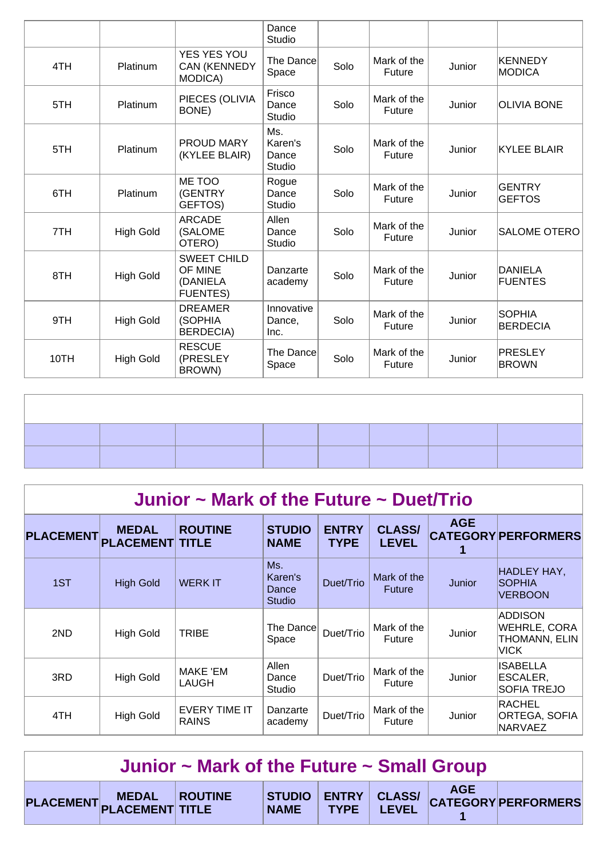|      |                  |                                                              | Dance<br>Studio                   |      |                       |        |                                  |
|------|------------------|--------------------------------------------------------------|-----------------------------------|------|-----------------------|--------|----------------------------------|
| 4TH  | Platinum         | YES YES YOU<br><b>CAN (KENNEDY</b><br><b>MODICA)</b>         | The Dance<br>Space                | Solo | Mark of the<br>Future | Junior | <b>KENNEDY</b><br><b>MODICA</b>  |
| 5TH  | <b>Platinum</b>  | PIECES (OLIVIA<br>BONE)                                      | Frisco<br>Dance<br>Studio         | Solo | Mark of the<br>Future | Junior | <b>OLIVIA BONE</b>               |
| 5TH  | Platinum         | PROUD MARY<br>(KYLEE BLAIR)                                  | Ms.<br>Karen's<br>Dance<br>Studio | Solo | Mark of the<br>Future | Junior | <b>KYLEE BLAIR</b>               |
| 6TH  | Platinum         | ME TOO<br>(GENTRY<br>GEFTOS)                                 | Rogue<br>Dance<br>Studio          | Solo | Mark of the<br>Future | Junior | <b>GENTRY</b><br><b>GEFTOS</b>   |
| 7TH  | <b>High Gold</b> | <b>ARCADE</b><br>(SALOME<br>OTERO)                           | Allen<br>Dance<br>Studio          | Solo | Mark of the<br>Future | Junior | <b>SALOME OTERO</b>              |
| 8TH  | <b>High Gold</b> | <b>SWEET CHILD</b><br>OF MINE<br>(DANIELA<br><b>FUENTES)</b> | Danzarte<br>academy               | Solo | Mark of the<br>Future | Junior | <b>DANIELA</b><br><b>FUENTES</b> |
| 9TH  | <b>High Gold</b> | <b>DREAMER</b><br>(SOPHIA<br><b>BERDECIA)</b>                | Innovative<br>Dance,<br>Inc.      | Solo | Mark of the<br>Future | Junior | <b>SOPHIA</b><br><b>BERDECIA</b> |
| 10TH | <b>High Gold</b> | <b>RESCUE</b><br>(PRESLEY<br>BROWN)                          | The Dance<br>Space                | Solo | Mark of the<br>Future | Junior | <b>PRESLEY</b><br><b>BROWN</b>   |
|      |                  |                                                              |                                   |      |                       |        |                                  |
|      |                  |                                                              |                                   |      |                       |        |                                  |

|                  | Junior $\sim$ Mark of the Future $\sim$ Duet/Trio |                               |                                          |                             |                               |            |                                                                       |  |  |  |  |
|------------------|---------------------------------------------------|-------------------------------|------------------------------------------|-----------------------------|-------------------------------|------------|-----------------------------------------------------------------------|--|--|--|--|
| <b>PLACEMENT</b> | <b>MEDAL</b><br><b>PLACEMENT TITLE</b>            | <b>ROUTINE</b>                | <b>STUDIO</b><br><b>NAME</b>             | <b>ENTRY</b><br><b>TYPE</b> | <b>CLASS/</b><br><b>LEVEL</b> | <b>AGE</b> | <b>CATEGORY PERFORMERS</b>                                            |  |  |  |  |
| 1ST              | <b>High Gold</b>                                  | <b>WERK IT</b>                | Ms.<br>Karen's<br>Dance<br><b>Studio</b> | Duet/Trio                   | Mark of the<br><b>Future</b>  | Junior     | HADLEY HAY.<br><b>SOPHIA</b><br><b>VERBOON</b>                        |  |  |  |  |
| 2ND              | <b>High Gold</b>                                  | <b>TRIBE</b>                  | The Dance<br>Space                       | Duet/Trio                   | Mark of the<br>Future         | Junior     | <b>ADDISON</b><br><b>WEHRLE, CORA</b><br>THOMANN, ELIN<br><b>VICK</b> |  |  |  |  |
| 3RD              | <b>High Gold</b>                                  | MAKE 'EM<br><b>LAUGH</b>      | Allen<br>Dance<br>Studio                 | Duet/Trio                   | Mark of the<br>Future         | Junior     | <b>ISABELLA</b><br>ESCALER,<br><b>SOFIA TREJO</b>                     |  |  |  |  |
| 4TH              | High Gold                                         | EVERY TIME IT<br><b>RAINS</b> | Danzarte<br>academy                      | Duet/Trio                   | Mark of the<br>Future         | Junior     | <b>RACHEL</b><br>ORTEGA, SOFIA<br><b>NARVAEZ</b>                      |  |  |  |  |

| Junior $\sim$ Mark of the Future $\sim$ Small Group |                         |  |  |  |  |  |                                                                |  |  |
|-----------------------------------------------------|-------------------------|--|--|--|--|--|----------------------------------------------------------------|--|--|
|                                                     | PLACEMENT MEDAL ROUTINE |  |  |  |  |  | STUDIO ENTRY CLASS/ AGE<br>NAME TYPE LEVEL CATEGORY PERFORMERS |  |  |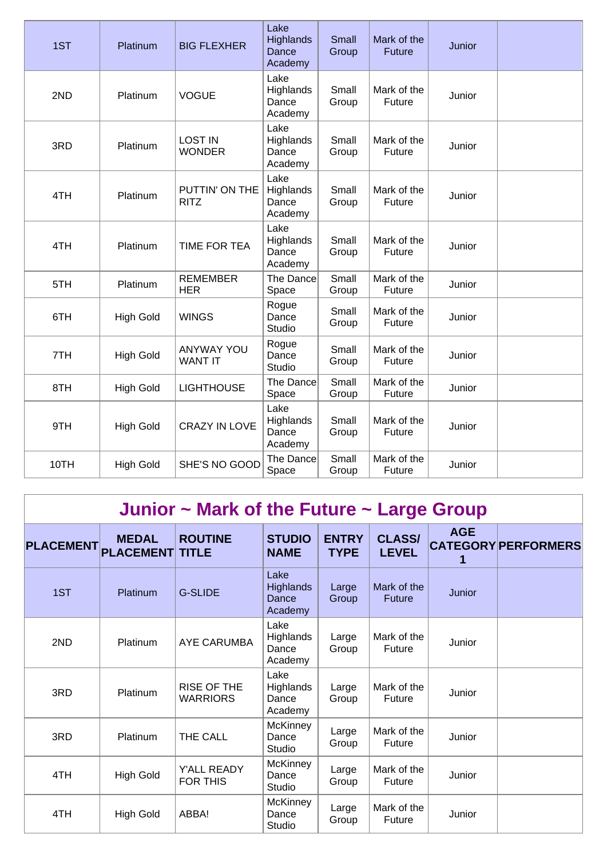| 1ST  | Platinum         | <b>BIG FLEXHER</b>                  | Lake<br>Highlands<br>Dance<br>Academy | Small<br>Group | Mark of the<br><b>Future</b> | Junior |  |
|------|------------------|-------------------------------------|---------------------------------------|----------------|------------------------------|--------|--|
| 2ND  | Platinum         | <b>VOGUE</b>                        | Lake<br>Highlands<br>Dance<br>Academy | Small<br>Group | Mark of the<br>Future        | Junior |  |
| 3RD  | Platinum         | <b>LOST IN</b><br><b>WONDER</b>     | Lake<br>Highlands<br>Dance<br>Academy | Small<br>Group | Mark of the<br>Future        | Junior |  |
| 4TH  | Platinum         | PUTTIN' ON THE<br><b>RITZ</b>       | Lake<br>Highlands<br>Dance<br>Academy | Small<br>Group | Mark of the<br>Future        | Junior |  |
| 4TH  | Platinum         | TIME FOR TEA                        | Lake<br>Highlands<br>Dance<br>Academy | Small<br>Group | Mark of the<br>Future        | Junior |  |
| 5TH  | Platinum         | <b>REMEMBER</b><br><b>HER</b>       | The Dance<br>Space                    | Small<br>Group | Mark of the<br>Future        | Junior |  |
| 6TH  | <b>High Gold</b> | <b>WINGS</b>                        | Rogue<br>Dance<br>Studio              | Small<br>Group | Mark of the<br>Future        | Junior |  |
| 7TH  | <b>High Gold</b> | <b>ANYWAY YOU</b><br><b>WANT IT</b> | Rogue<br>Dance<br>Studio              | Small<br>Group | Mark of the<br>Future        | Junior |  |
| 8TH  | <b>High Gold</b> | <b>LIGHTHOUSE</b>                   | The Dance<br>Space                    | Small<br>Group | Mark of the<br>Future        | Junior |  |
| 9TH  | <b>High Gold</b> | <b>CRAZY IN LOVE</b>                | Lake<br>Highlands<br>Dance<br>Academy | Small<br>Group | Mark of the<br><b>Future</b> | Junior |  |
| 10TH | <b>High Gold</b> | SHE'S NO GOOD                       | The Dance<br>Space                    | Small<br>Group | Mark of the<br>Future        | Junior |  |

## **Junior ~ Mark of the Future ~ Large Group**

| <b>PLACEMENT</b> | <b>MEDAL</b><br><b>PLACEMENT TITLE</b> | <b>ROUTINE</b>                        | <b>STUDIO</b><br><b>NAME</b>                 | <b>ENTRY</b><br><b>TYPE</b> | <b>CLASS/</b><br><b>LEVEL</b> | <b>AGE</b> | <b>CATEGORY PERFORMERS</b> |
|------------------|----------------------------------------|---------------------------------------|----------------------------------------------|-----------------------------|-------------------------------|------------|----------------------------|
| 1ST              | Platinum                               | <b>G-SLIDE</b>                        | Lake<br><b>Highlands</b><br>Dance<br>Academy | Large<br>Group              | Mark of the<br><b>Future</b>  | Junior     |                            |
| 2ND              | Platinum                               | <b>AYE CARUMBA</b>                    | Lake<br>Highlands<br>Dance<br>Academy        | Large<br>Group              | Mark of the<br>Future         | Junior     |                            |
| 3RD              | Platinum                               | <b>RISE OF THE</b><br><b>WARRIORS</b> | Lake<br><b>Highlands</b><br>Dance<br>Academy | Large<br>Group              | Mark of the<br>Future         | Junior     |                            |
| 3RD              | Platinum                               | THE CALL                              | <b>McKinney</b><br>Dance<br>Studio           | Large<br>Group              | Mark of the<br>Future         | Junior     |                            |
| 4TH              | <b>High Gold</b>                       | Y'ALL READY<br><b>FOR THIS</b>        | <b>McKinney</b><br>Dance<br>Studio           | Large<br>Group              | Mark of the<br>Future         | Junior     |                            |
| 4TH              | <b>High Gold</b>                       | ABBA!                                 | <b>McKinney</b><br>Dance<br>Studio           | Large<br>Group              | Mark of the<br>Future         | Junior     |                            |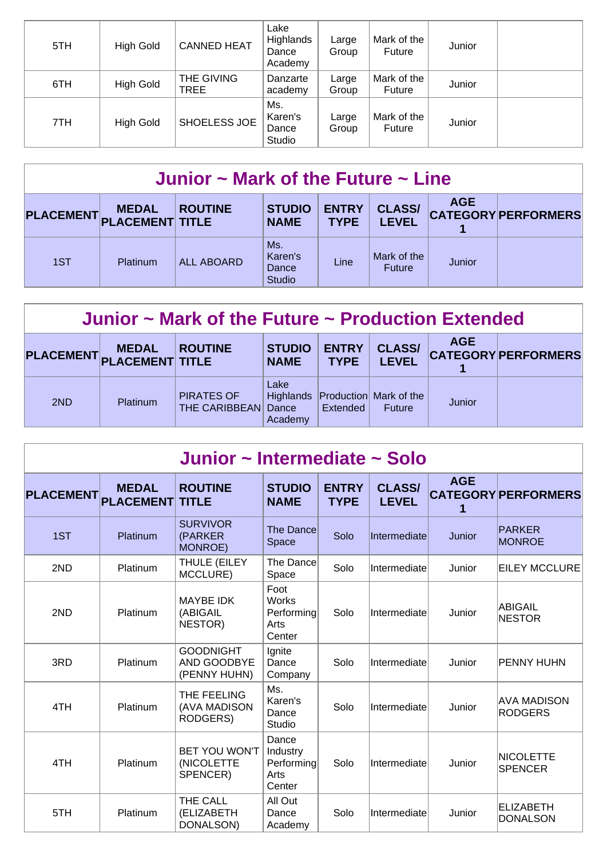| 5TH | <b>High Gold</b> | <b>CANNED HEAT</b> | Lake<br>Highlands<br>Dance<br>Academy | Large<br>Group | Mark of the<br><b>Future</b> | Junior |  |
|-----|------------------|--------------------|---------------------------------------|----------------|------------------------------|--------|--|
| 6TH | <b>High Gold</b> | THE GIVING<br>TREE | Danzarte<br>academy                   | Large<br>Group | Mark of the<br><b>Future</b> | Junior |  |
| 7TH | <b>High Gold</b> | SHOELESS JOE       | Ms.<br>Karen's<br>Dance<br>Studio     | Large<br>Group | Mark of the<br><b>Future</b> | Junior |  |

| Junior $\sim$ Mark of the Future $\sim$ Line |              |                   |                                          |                             |                               |            |                            |  |  |
|----------------------------------------------|--------------|-------------------|------------------------------------------|-----------------------------|-------------------------------|------------|----------------------------|--|--|
| PLACEMENT PLACEMENT TITLE                    | <b>MEDAL</b> | <b>ROUTINE</b>    | <b>STUDIO</b><br><b>NAME</b>             | <b>ENTRY</b><br><b>TYPE</b> | <b>CLASS/</b><br><b>LEVEL</b> | <b>AGE</b> | <b>CATEGORY PERFORMERS</b> |  |  |
| 1ST                                          | Platinum     | <b>ALL ABOARD</b> | Ms.<br>Karen's<br>Dance<br><b>Studio</b> | Line                        | Mark of the<br><b>Future</b>  | Junior     |                            |  |  |

| Junior $\sim$ Mark of the Future $\sim$ Production Extended |                                           |                                    |                              |                             |                                                   |            |                            |  |  |
|-------------------------------------------------------------|-------------------------------------------|------------------------------------|------------------------------|-----------------------------|---------------------------------------------------|------------|----------------------------|--|--|
|                                                             | <b>MEDAL</b><br>PLACEMENT PLACEMENT TITLE | <b>ROUTINE</b>                     | <b>STUDIO</b><br><b>NAME</b> | <b>ENTRY</b><br><b>TYPE</b> | <b>CLASS/</b><br><b>LEVEL</b>                     | <b>AGE</b> | <b>CATEGORY PERFORMERS</b> |  |  |
| 2ND                                                         | <b>Platinum</b>                           | <b>PIRATES OF</b><br>THE CARIBBEAN | Lake<br>Dance<br>Academy     | Extended                    | Highlands Production Mark of the<br><b>Future</b> | Junior     |                            |  |  |

| Junior ~ Intermediate ~ Solo |                                  |                                                 |                                                      |                             |                               |                 |                                      |  |  |
|------------------------------|----------------------------------|-------------------------------------------------|------------------------------------------------------|-----------------------------|-------------------------------|-----------------|--------------------------------------|--|--|
| <b>PLACEMENT</b>             | <b>MEDAL</b><br><b>PLACEMENT</b> | <b>ROUTINE</b><br><b>TITLE</b>                  | <b>STUDIO</b><br><b>NAME</b>                         | <b>ENTRY</b><br><b>TYPE</b> | <b>CLASS/</b><br><b>LEVEL</b> | <b>AGE</b><br>1 | <b>CATEGORY PERFORMERS</b>           |  |  |
| 1ST                          | Platinum                         | <b>SURVIVOR</b><br>(PARKER<br>MONROE)           | The Dance<br>Space                                   | Solo                        | Intermediate                  | Junior          | PARKER<br><b>MONROE</b>              |  |  |
| 2ND                          | Platinum                         | THULE (EILEY<br>MCCLURE)                        | The Dance<br>Space                                   | Solo                        | Intermediate                  | Junior          | <b>EILEY MCCLURE</b>                 |  |  |
| 2ND                          | Platinum                         | <b>MAYBE IDK</b><br>(ABIGAIL<br>NESTOR)         | Foot<br><b>Works</b><br>Performing<br>Arts<br>Center | Solo                        | Intermediate                  | Junior          | <b>ABIGAIL</b><br><b>NESTOR</b>      |  |  |
| 3RD                          | Platinum                         | <b>GOODNIGHT</b><br>AND GOODBYE<br>(PENNY HUHN) | Ignite<br>Dance<br>Company                           | Solo                        | Intermediate                  | Junior          | PENNY HUHN                           |  |  |
| 4TH                          | Platinum                         | THE FEELING<br>(AVA MADISON<br>RODGERS)         | Ms.<br>Karen's<br>Dance<br>Studio                    | Solo                        | Intermediate                  | Junior          | <b>AVA MADISON</b><br><b>RODGERS</b> |  |  |
| 4TH                          | Platinum                         | BET YOU WON'T<br>(NICOLETTE<br>SPENCER)         | Dance<br>Industry<br>Performing<br>Arts<br>Center    | Solo                        | Intermediate                  | Junior          | <b>NICOLETTE</b><br><b>SPENCER</b>   |  |  |
| 5TH                          | Platinum                         | THE CALL<br>(ELIZABETH<br>DONALSON)             | All Out<br>Dance<br>Academy                          | Solo                        | Intermediate                  | Junior          | <b>ELIZABETH</b><br><b>DONALSON</b>  |  |  |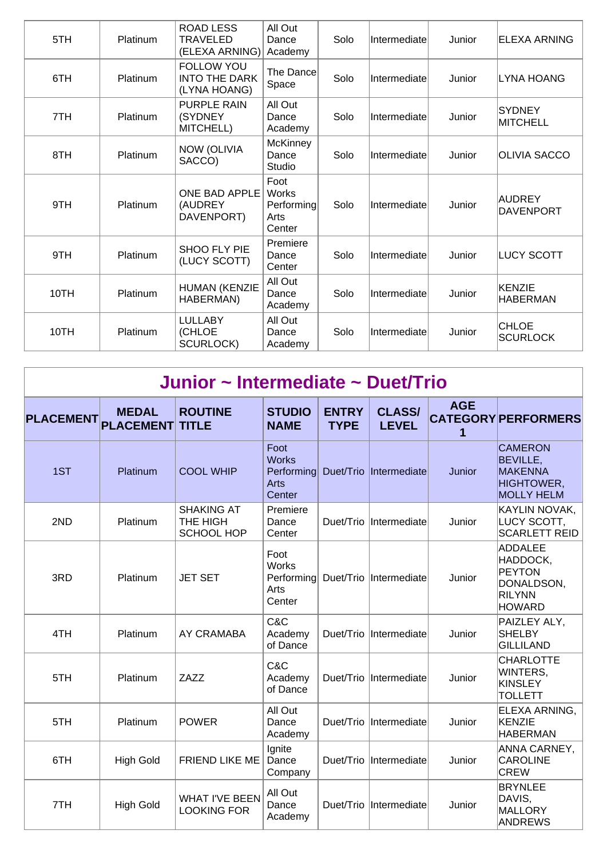| 5TH  | Platinum        | <b>ROAD LESS</b><br>TRAVELED<br>(ELEXA ARNING)            | All Out<br>Dance<br>Academy                   | Solo | Intermediate | Junior | ELEXA ARNING                     |
|------|-----------------|-----------------------------------------------------------|-----------------------------------------------|------|--------------|--------|----------------------------------|
| 6TH  | Platinum        | <b>FOLLOW YOU</b><br><b>INTO THE DARK</b><br>(LYNA HOANG) | The Dance<br>Space                            | Solo | Intermediate | Junior | <b>LYNA HOANG</b>                |
| 7TH  | <b>Platinum</b> | <b>PURPLE RAIN</b><br>(SYDNEY<br>MITCHELL)                | All Out<br>Dance<br>Academy                   | Solo | Intermediate | Junior | <b>SYDNEY</b><br><b>MITCHELL</b> |
| 8TH  | Platinum        | <b>NOW (OLIVIA</b><br>SACCO)                              | <b>McKinney</b><br>Dance<br>Studio            | Solo | Intermediate | Junior | <b>OLIVIA SACCO</b>              |
| 9TH  | Platinum        | ONE BAD APPLE<br>(AUDREY<br>DAVENPORT)                    | Foot<br>Works<br>Performing<br>Arts<br>Center | Solo | Intermediate | Junior | AUDREY<br><b>DAVENPORT</b>       |
| 9TH  | Platinum        | SHOO FLY PIE<br>(LUCY SCOTT)                              | Premiere<br>Dance<br>Center                   | Solo | Intermediate | Junior | <b>LUCY SCOTT</b>                |
| 10TH | Platinum        | HUMAN (KENZIE<br>HABERMAN)                                | All Out<br>Dance<br>Academy                   | Solo | Intermediate | Junior | KENZIE<br><b>HABERMAN</b>        |
| 10TH | Platinum        | <b>LULLABY</b><br>(CHLOE<br><b>SCURLOCK)</b>              | All Out<br>Dance<br>Academy                   | Solo | Intermediate | Junior | <b>CHLOE</b><br><b>SCURLOCK</b>  |

|  | Junior ~ Intermediate ~ Duet/Trio |  |
|--|-----------------------------------|--|
|--|-----------------------------------|--|

| <b>PLACEMENT</b> | <b>MEDAL</b><br><b>PLACEMENT</b> | <b>ROUTINE</b><br><b>TITLE</b>                     | <b>STUDIO</b><br><b>NAME</b>                         | <b>ENTRY</b><br><b>TYPE</b> | <b>CLASS/</b><br><b>LEVEL</b> | <b>AGE</b><br>1 | <b>CATEGORY PERFORMERS</b>                                                                  |
|------------------|----------------------------------|----------------------------------------------------|------------------------------------------------------|-----------------------------|-------------------------------|-----------------|---------------------------------------------------------------------------------------------|
| 1ST              | Platinum                         | <b>COOL WHIP</b>                                   | Foot<br><b>Works</b><br>Performing<br>Arts<br>Center | Duet/Trio                   | Intermediate                  | Junior          | <b>CAMERON</b><br>BEVILLE,<br><b>MAKENNA</b><br><b>HIGHTOWER,</b><br><b>MOLLY HELM</b>      |
| 2ND              | Platinum                         | <b>SHAKING AT</b><br>THE HIGH<br><b>SCHOOL HOP</b> | Premiere<br>Dance<br>Center                          |                             | Duet/Trio Intermediate        | Junior          | KAYLIN NOVAK,<br>LUCY SCOTT,<br><b>SCARLETT REID</b>                                        |
| 3RD              | Platinum                         | <b>JET SET</b>                                     | Foot<br><b>Works</b><br>Performing<br>Arts<br>Center |                             | Duet/Trio Intermediate        | Junior          | <b>ADDALEE</b><br>HADDOCK,<br><b>PEYTON</b><br>DONALDSON,<br><b>RILYNN</b><br><b>HOWARD</b> |
| 4TH              | Platinum                         | AY CRAMABA                                         | C&C<br>Academy<br>of Dance                           |                             | Duet/Trio Intermediate        | Junior          | PAIZLEY ALY,<br><b>SHELBY</b><br><b>GILLILAND</b>                                           |
| 5TH              | Platinum                         | ZAZZ                                               | C&C<br>Academy<br>of Dance                           |                             | Duet/Trio Intermediate        | Junior          | <b>CHARLOTTE</b><br>WINTERS,<br><b>KINSLEY</b><br><b>TOLLETT</b>                            |
| 5TH              | Platinum                         | <b>POWER</b>                                       | All Out<br>Dance<br>Academy                          |                             | Duet/Trio Intermediate        | Junior          | ELEXA ARNING,<br><b>KENZIE</b><br><b>HABERMAN</b>                                           |
| 6TH              | <b>High Gold</b>                 | FRIEND LIKE ME                                     | Ignite<br>Dance<br>Company                           | Duet/Trio                   | Intermediate                  | Junior          | ANNA CARNEY,<br><b>CAROLINE</b><br><b>CREW</b>                                              |
| 7TH              | <b>High Gold</b>                 | <b>WHAT I'VE BEEN</b><br><b>LOOKING FOR</b>        | All Out<br>Dance<br>Academy                          |                             | Duet/Trio Intermediate        | Junior          | <b>BRYNLEE</b><br>DAVIS,<br>MALLORY<br>ANDREWS                                              |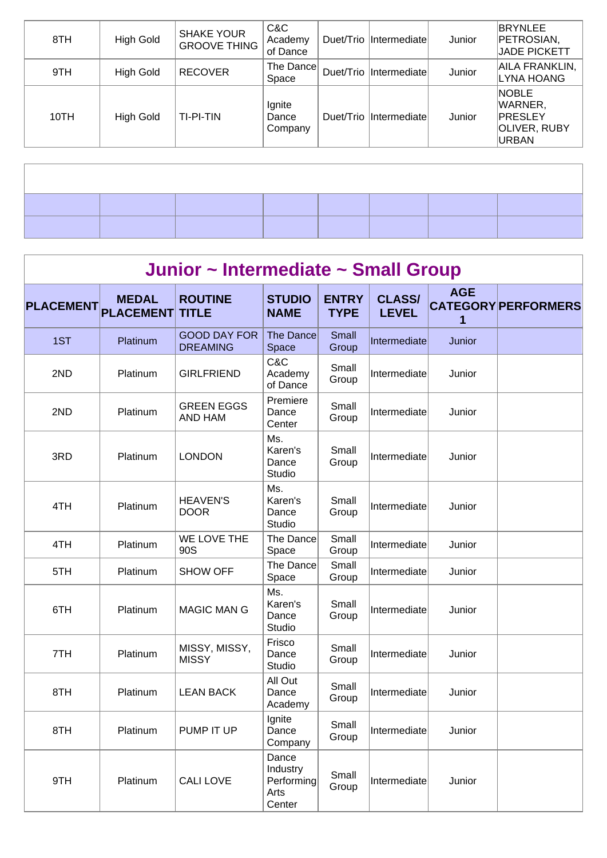| 8TH  | <b>High Gold</b> | <b>SHAKE YOUR</b><br><b>GROOVE THING</b> | C&C<br>Academy<br>of Dance | Duet/Trio  Intermediate | Junior | BRYNLEE<br>PETROSIAN,<br><b>JADE PICKETT</b>                       |
|------|------------------|------------------------------------------|----------------------------|-------------------------|--------|--------------------------------------------------------------------|
| 9TH  | <b>High Gold</b> | <b>RECOVER</b>                           | The Dance<br>Space         | Duet/Trio Intermediate  | Junior | AILA FRANKLIN,<br>LYNA HOANG                                       |
| 10TH | <b>High Gold</b> | TI-PI-TIN                                | Ignite<br>Dance<br>Company | Duet/Trio Intermediate  | Junior | <b>NOBLE</b><br>WARNER,<br>PRESLEY<br>OLIVER, RUBY<br><b>URBAN</b> |

| Junior ~ Intermediate ~ Small Group |                                  |                                        |                                                   |                             |                               |                 |                            |  |  |  |
|-------------------------------------|----------------------------------|----------------------------------------|---------------------------------------------------|-----------------------------|-------------------------------|-----------------|----------------------------|--|--|--|
| <b>PLACEMENT</b>                    | <b>MEDAL</b><br><b>PLACEMENT</b> | <b>ROUTINE</b><br><b>TITLE</b>         | <b>STUDIO</b><br><b>NAME</b>                      | <b>ENTRY</b><br><b>TYPE</b> | <b>CLASS/</b><br><b>LEVEL</b> | <b>AGE</b><br>1 | <b>CATEGORY PERFORMERS</b> |  |  |  |
| 1ST                                 | Platinum                         | <b>GOOD DAY FOR</b><br><b>DREAMING</b> | <b>The Dance</b><br>Space                         | Small<br>Group              | Intermediate                  | Junior          |                            |  |  |  |
| 2ND                                 | Platinum                         | <b>GIRLFRIEND</b>                      | C&C<br>Academy<br>of Dance                        | Small<br>Group              | Intermediate                  | Junior          |                            |  |  |  |
| 2ND                                 | Platinum                         | <b>GREEN EGGS</b><br>AND HAM           | Premiere<br>Dance<br>Center                       | Small<br>Group              | Intermediate                  | Junior          |                            |  |  |  |
| 3RD                                 | Platinum                         | <b>LONDON</b>                          | Ms.<br>Karen's<br>Dance<br><b>Studio</b>          | Small<br>Group              | Intermediate                  | Junior          |                            |  |  |  |
| 4TH                                 | Platinum                         | <b>HEAVEN'S</b><br><b>DOOR</b>         | Ms.<br>Karen's<br>Dance<br>Studio                 | Small<br>Group              | Intermediate                  | Junior          |                            |  |  |  |
| 4TH                                 | Platinum                         | WE LOVE THE<br>90S                     | The Dance<br>Space                                | Small<br>Group              | Intermediate                  | Junior          |                            |  |  |  |
| 5TH                                 | Platinum                         | <b>SHOW OFF</b>                        | The Dance<br>Space                                | Small<br>Group              | Intermediate                  | Junior          |                            |  |  |  |
| 6TH                                 | Platinum                         | <b>MAGIC MAN G</b>                     | Ms.<br>Karen's<br>Dance<br>Studio                 | Small<br>Group              | Intermediate                  | Junior          |                            |  |  |  |
| 7TH                                 | Platinum                         | MISSY, MISSY,<br><b>MISSY</b>          | Frisco<br>Dance<br>Studio                         | Small<br>Group              | Intermediate                  | Junior          |                            |  |  |  |
| 8TH                                 | Platinum                         | <b>LEAN BACK</b>                       | All Out<br>Dance<br>Academy                       | Small<br>Group              | Intermediate                  | Junior          |                            |  |  |  |
| 8TH                                 | Platinum                         | PUMP IT UP                             | Ignite<br>Dance<br>Company                        | Small<br>Group              | Intermediate                  | Junior          |                            |  |  |  |
| 9TH                                 | Platinum                         | <b>CALI LOVE</b>                       | Dance<br>Industry<br>Performing<br>Arts<br>Center | Small<br>Group              | Intermediate                  | Junior          |                            |  |  |  |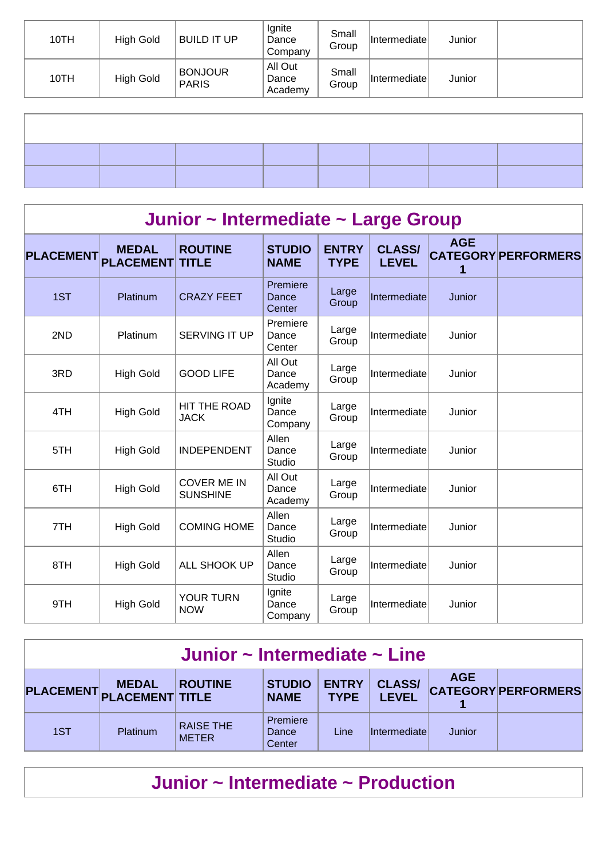| 10TH | <b>High Gold</b> | <b>BUILD IT UP</b>             | Ignite<br>Dance<br>Company  | Small<br>Group | Intermediate | Junior |  |
|------|------------------|--------------------------------|-----------------------------|----------------|--------------|--------|--|
| 10TH | <b>High Gold</b> | <b>BONJOUR</b><br><b>PARIS</b> | All Out<br>Dance<br>Academy | Small<br>Group | Intermediate | Junior |  |
|      |                  |                                |                             |                |              |        |  |
|      |                  |                                |                             |                |              |        |  |
|      |                  |                                |                             |                |              |        |  |
|      |                  |                                |                             |                |              |        |  |
|      |                  |                                |                             |                |              |        |  |

| Junior ~ Intermediate ~ Large Group |                                  |                                       |                                 |                             |                               |                 |                            |  |  |  |
|-------------------------------------|----------------------------------|---------------------------------------|---------------------------------|-----------------------------|-------------------------------|-----------------|----------------------------|--|--|--|
| <b>PLACEMENT</b>                    | <b>MEDAL</b><br><b>PLACEMENT</b> | <b>ROUTINE</b><br><b>TITLE</b>        | <b>STUDIO</b><br><b>NAME</b>    | <b>ENTRY</b><br><b>TYPE</b> | <b>CLASS/</b><br><b>LEVEL</b> | <b>AGE</b><br>1 | <b>CATEGORY PERFORMERS</b> |  |  |  |
| 1ST                                 | Platinum                         | <b>CRAZY FEET</b>                     | Premiere<br>Dance<br>Center     | Large<br>Group              | Intermediate                  | Junior          |                            |  |  |  |
| 2ND                                 | Platinum                         | <b>SERVING IT UP</b>                  | Premiere<br>Dance<br>Center     | Large<br>Group              | Intermediate                  | Junior          |                            |  |  |  |
| 3RD                                 | <b>High Gold</b>                 | <b>GOOD LIFE</b>                      | All Out<br>Dance<br>Academy     | Large<br>Group              | Intermediate                  | Junior          |                            |  |  |  |
| 4TH                                 | <b>High Gold</b>                 | HIT THE ROAD<br><b>JACK</b>           | Ignite<br>Dance<br>Company      | Large<br>Group              | Intermediate                  | Junior          |                            |  |  |  |
| 5TH                                 | <b>High Gold</b>                 | <b>INDEPENDENT</b>                    | Allen<br>Dance<br><b>Studio</b> | Large<br>Group              | Intermediate                  | Junior          |                            |  |  |  |
| 6TH                                 | <b>High Gold</b>                 | <b>COVER ME IN</b><br><b>SUNSHINE</b> | All Out<br>Dance<br>Academy     | Large<br>Group              | Intermediate                  | Junior          |                            |  |  |  |
| 7TH                                 | <b>High Gold</b>                 | <b>COMING HOME</b>                    | Allen<br>Dance<br>Studio        | Large<br>Group              | Intermediate                  | Junior          |                            |  |  |  |
| 8TH                                 | <b>High Gold</b>                 | ALL SHOOK UP                          | Allen<br>Dance<br>Studio        | Large<br>Group              | Intermediate                  | Junior          |                            |  |  |  |
| 9TH                                 | <b>High Gold</b>                 | YOUR TURN<br><b>NOW</b>               | Ignite<br>Dance<br>Company      | Large<br>Group              | Intermediate                  | Junior          |                            |  |  |  |

| Junior ~ Intermediate ~ Line                                                                                                                                                                            |          |                                  |                             |      |                     |        |  |  |  |  |
|---------------------------------------------------------------------------------------------------------------------------------------------------------------------------------------------------------|----------|----------------------------------|-----------------------------|------|---------------------|--------|--|--|--|--|
| <b>AGE</b><br><b>CLASS/</b><br><b>ENTRY</b><br><b>STUDIO</b><br><b>ROUTINE</b><br><b>MEDAL</b><br><b>CATEGORY PERFORMERS</b><br>PLACEMENT PLACEMENT TITLE<br><b>LEVEL</b><br><b>TYPE</b><br><b>NAME</b> |          |                                  |                             |      |                     |        |  |  |  |  |
| 1ST                                                                                                                                                                                                     | Platinum | <b>RAISE THE</b><br><b>METER</b> | Premiere<br>Dance<br>Center | Line | <i>Intermediate</i> | Junior |  |  |  |  |

## **Junior ~ Intermediate ~ Production**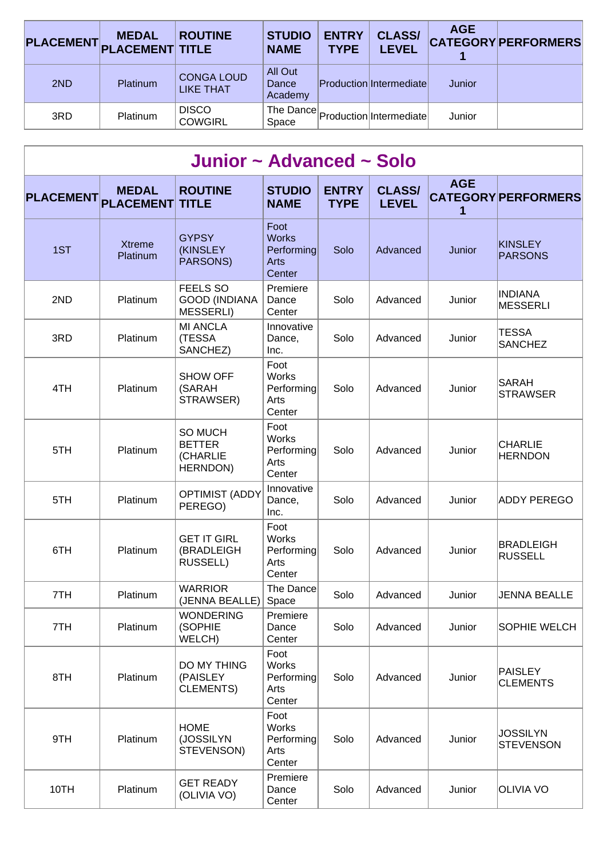|     | <b>MEDAL</b><br>PLACEMENT PLACEMENT TITLE | <b>ROUTINE</b>                        | <b>STUDIO</b><br><b>NAME</b> | <b>ENTRY</b><br><b>TYPE</b> | <b>CLASS/</b><br><b>LEVEL</b>         | <b>AGE</b> | <b>CATEGORY PERFORMERS</b> |
|-----|-------------------------------------------|---------------------------------------|------------------------------|-----------------------------|---------------------------------------|------------|----------------------------|
| 2ND | <b>Platinum</b>                           | <b>CONGA LOUD</b><br><b>LIKE THAT</b> | All Out<br>Dance<br>Academy  |                             | Production Intermediate               | Junior     |                            |
| 3RD | <b>Platinum</b>                           | <b>DISCO</b><br><b>COWGIRL</b>        | Space                        |                             | The Dance   Production   Intermediate | Junior     |                            |

| Junior ~ Advanced ~ Solo |                                  |                                                             |                                                      |                             |                               |                 |                                     |  |  |  |
|--------------------------|----------------------------------|-------------------------------------------------------------|------------------------------------------------------|-----------------------------|-------------------------------|-----------------|-------------------------------------|--|--|--|
| <b>PLACEMENT</b>         | <b>MEDAL</b><br><b>PLACEMENT</b> | <b>ROUTINE</b><br><b>TITLE</b>                              | <b>STUDIO</b><br><b>NAME</b>                         | <b>ENTRY</b><br><b>TYPE</b> | <b>CLASS/</b><br><b>LEVEL</b> | <b>AGE</b><br>1 | <b>CATEGORY PERFORMERS</b>          |  |  |  |
| 1ST                      | <b>Xtreme</b><br>Platinum        | <b>GYPSY</b><br><b>(KINSLEY</b><br>PARSONS)                 | Foot<br><b>Works</b><br>Performing<br>Arts<br>Center | Solo                        | Advanced                      | Junior          | KINSLEY<br><b>PARSONS</b>           |  |  |  |
| 2ND                      | Platinum                         | <b>FEELS SO</b><br><b>GOOD (INDIANA</b><br><b>MESSERLI)</b> | Premiere<br>Dance<br>Center                          | Solo                        | Advanced                      | Junior          | <b>INDIANA</b><br><b>MESSERLI</b>   |  |  |  |
| 3RD                      | Platinum                         | <b>MI ANCLA</b><br>(TESSA<br>SANCHEZ)                       | Innovative<br>Dance,<br>Inc.                         | Solo                        | Advanced                      | Junior          | <b>TESSA</b><br><b>SANCHEZ</b>      |  |  |  |
| 4TH                      | Platinum                         | <b>SHOW OFF</b><br>(SARAH<br>STRAWSER)                      | Foot<br><b>Works</b><br>Performing<br>Arts<br>Center | Solo                        | Advanced                      | Junior          | SARAH<br><b>STRAWSER</b>            |  |  |  |
| 5TH                      | Platinum                         | SO MUCH<br><b>BETTER</b><br>(CHARLIE<br>HERNDON)            | Foot<br><b>Works</b><br>Performing<br>Arts<br>Center | Solo                        | Advanced                      | Junior          | <b>CHARLIE</b><br><b>HERNDON</b>    |  |  |  |
| 5TH                      | Platinum                         | <b>OPTIMIST (ADDY</b><br>PEREGO)                            | Innovative<br>Dance,<br>Inc.                         | Solo                        | Advanced                      | Junior          | <b>ADDY PEREGO</b>                  |  |  |  |
| 6TH                      | Platinum                         | <b>GET IT GIRL</b><br>(BRADLEIGH<br><b>RUSSELL)</b>         | Foot<br>Works<br>Performing<br>Arts<br>Center        | Solo                        | Advanced                      | Junior          | <b>BRADLEIGH</b><br><b>RUSSELL</b>  |  |  |  |
| 7TH                      | Platinum                         | <b>WARRIOR</b><br>(JENNA BEALLE)                            | The Dance<br>Space                                   | Solo                        | Advanced                      | Junior          | <b>JENNA BEALLE</b>                 |  |  |  |
| 7TH                      | Platinum                         | <b>WONDERING</b><br>(SOPHIE<br>WELCH)                       | Premiere<br>Dance<br>Center                          | Solo                        | Advanced                      | Junior          | SOPHIE WELCH                        |  |  |  |
| 8TH                      | Platinum                         | DO MY THING<br>(PAISLEY<br><b>CLEMENTS)</b>                 | Foot<br><b>Works</b><br>Performing<br>Arts<br>Center | Solo                        | Advanced                      | Junior          | PAISLEY<br><b>CLEMENTS</b>          |  |  |  |
| 9TH                      | Platinum                         | <b>HOME</b><br>(JOSSILYN<br>STEVENSON)                      | Foot<br><b>Works</b><br>Performing<br>Arts<br>Center | Solo                        | Advanced                      | Junior          | <b>JOSSILYN</b><br><b>STEVENSON</b> |  |  |  |
| 10TH                     | Platinum                         | <b>GET READY</b><br>(OLIVIA VO)                             | Premiere<br>Dance<br>Center                          | Solo                        | Advanced                      | Junior          | <b>OLIVIA VO</b>                    |  |  |  |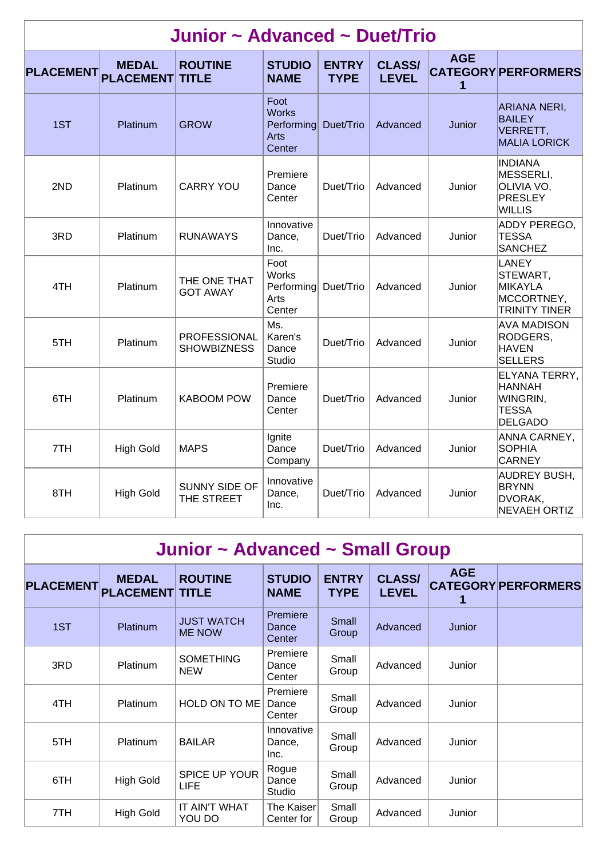|                  | Junior ~ Advanced ~ Duet/Trio    |                                           |                                                             |                             |                               |                 |                                                                              |  |  |  |  |
|------------------|----------------------------------|-------------------------------------------|-------------------------------------------------------------|-----------------------------|-------------------------------|-----------------|------------------------------------------------------------------------------|--|--|--|--|
| <b>PLACEMENT</b> | <b>MEDAL</b><br><b>PLACEMENT</b> | <b>ROUTINE</b><br><b>TITLE</b>            | <b>STUDIO</b><br><b>NAME</b>                                | <b>ENTRY</b><br><b>TYPE</b> | <b>CLASS/</b><br><b>LEVEL</b> | <b>AGE</b><br>1 | <b>CATEGORY PERFORMERS</b>                                                   |  |  |  |  |
| 1ST              | Platinum                         | <b>GROW</b>                               | Foot<br><b>Works</b><br>Performing<br><b>Arts</b><br>Center | Duet/Trio                   | Advanced                      | Junior          | <b>ARIANA NERI,</b><br><b>BAILEY</b><br>VERRETT,<br><b>MALIA LORICK</b>      |  |  |  |  |
| 2ND              | Platinum                         | <b>CARRY YOU</b>                          | Premiere<br>Dance<br>Center                                 | Duet/Trio                   | Advanced                      | Junior          | <b>INDIANA</b><br>MESSERLI,<br>OLIVIA VO.<br>PRESLEY<br><b>WILLIS</b>        |  |  |  |  |
| 3RD              | Platinum                         | <b>RUNAWAYS</b>                           | Innovative<br>Dance,<br>Inc.                                | Duet/Trio                   | Advanced                      | Junior          | ADDY PEREGO,<br><b>TESSA</b><br><b>SANCHEZ</b>                               |  |  |  |  |
| 4TH              | Platinum                         | THE ONE THAT<br><b>GOT AWAY</b>           | Foot<br><b>Works</b><br>Performing<br>Arts<br>Center        | Duet/Trio                   | Advanced                      | Junior          | LANEY<br>STEWART,<br><b>MIKAYLA</b><br>MCCORTNEY,<br><b>TRINITY TINER</b>    |  |  |  |  |
| 5TH              | Platinum                         | <b>PROFESSIONAL</b><br><b>SHOWBIZNESS</b> | Ms.<br>Karen's<br>Dance<br>Studio                           | Duet/Trio                   | Advanced                      | Junior          | <b>AVA MADISON</b><br>RODGERS,<br><b>HAVEN</b><br><b>SELLERS</b>             |  |  |  |  |
| 6TH              | Platinum                         | <b>KABOOM POW</b>                         | Premiere<br>Dance<br>Center                                 | Duet/Trio                   | Advanced                      | Junior          | ELYANA TERRY,<br><b>HANNAH</b><br>WINGRIN,<br><b>TESSA</b><br><b>DELGADO</b> |  |  |  |  |
| 7TH              | <b>High Gold</b>                 | <b>MAPS</b>                               | Ignite<br>Dance<br>Company                                  | Duet/Trio                   | Advanced                      | Junior          | ANNA CARNEY,<br><b>SOPHIA</b><br><b>CARNEY</b>                               |  |  |  |  |
| 8TH              | <b>High Gold</b>                 | SUNNY SIDE OF<br>THE STREET               | Innovative<br>Dance,<br>Inc.                                | Duet/Trio                   | Advanced                      | Junior          | <b>AUDREY BUSH,</b><br><b>BRYNN</b><br>DVORAK,<br><b>NEVAEH ORTIZ</b>        |  |  |  |  |

|                  | Junior ~ Advanced ~ Small Group        |                                    |                              |                             |                               |            |                            |  |  |  |  |
|------------------|----------------------------------------|------------------------------------|------------------------------|-----------------------------|-------------------------------|------------|----------------------------|--|--|--|--|
| <b>PLACEMENT</b> | <b>MEDAL</b><br><b>PLACEMENT TITLE</b> | <b>ROUTINE</b>                     | <b>STUDIO</b><br><b>NAME</b> | <b>ENTRY</b><br><b>TYPE</b> | <b>CLASS/</b><br><b>LEVEL</b> | <b>AGE</b> | <b>CATEGORY PERFORMERS</b> |  |  |  |  |
| 1ST              | Platinum                               | <b>JUST WATCH</b><br><b>ME NOW</b> | Premiere<br>Dance<br>Center  | Small<br>Group              | Advanced                      | Junior     |                            |  |  |  |  |
| 3RD              | Platinum                               | <b>SOMETHING</b><br><b>NEW</b>     | Premiere<br>Dance<br>Center  | Small<br>Group              | Advanced                      | Junior     |                            |  |  |  |  |
| 4TH              | <b>Platinum</b>                        | HOLD ON TO ME                      | Premiere<br>Dance<br>Center  | Small<br>Group              | Advanced                      | Junior     |                            |  |  |  |  |
| 5TH              | <b>Platinum</b>                        | <b>BAILAR</b>                      | Innovative<br>Dance,<br>Inc. | Small<br>Group              | Advanced                      | Junior     |                            |  |  |  |  |
| 6TH              | <b>High Gold</b>                       | SPICE UP YOUR<br><b>LIFE</b>       | Rogue<br>Dance<br>Studio     | Small<br>Group              | Advanced                      | Junior     |                            |  |  |  |  |
| 7TH              | <b>High Gold</b>                       | IT AIN'T WHAT<br>YOU DO            | The Kaiser<br>Center for     | Small<br>Group              | Advanced                      | Junior     |                            |  |  |  |  |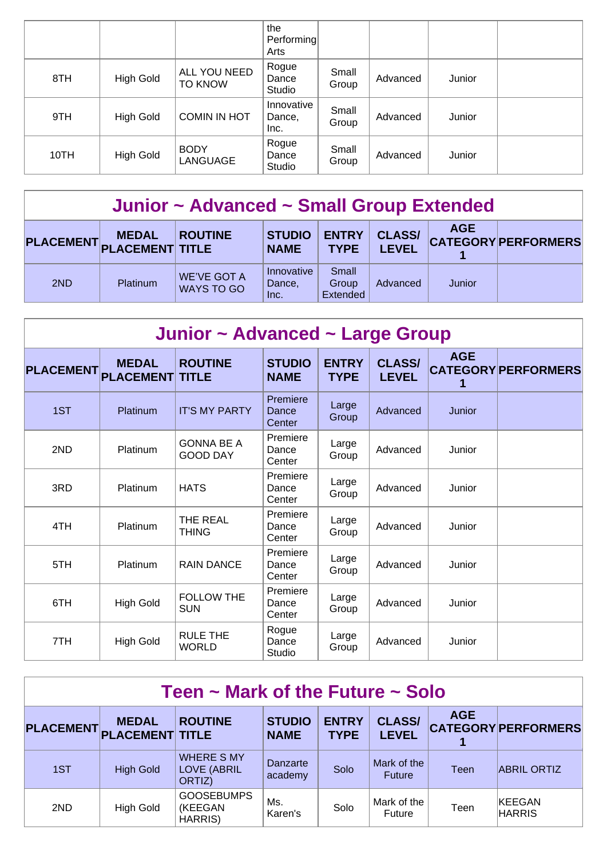|      |                  |                         | the<br>Performing<br>Arts    |                |          |        |  |
|------|------------------|-------------------------|------------------------------|----------------|----------|--------|--|
| 8TH  | <b>High Gold</b> | ALL YOU NEED<br>TO KNOW | Rogue<br>Dance<br>Studio     | Small<br>Group | Advanced | Junior |  |
| 9TH  | <b>High Gold</b> | <b>COMIN IN HOT</b>     | Innovative<br>Dance,<br>Inc. | Small<br>Group | Advanced | Junior |  |
| 10TH | <b>High Gold</b> | <b>BODY</b><br>LANGUAGE | Rogue<br>Dance<br>Studio     | Small<br>Group | Advanced | Junior |  |

## **Junior ~ Advanced ~ Small Group Extended**

| PLACEMENT PLACEMENT TITLE | <b>MEDAL</b>    | <b>ROUTINE</b>            | <b>STUDIO</b><br><b>NAME</b> | <b>ENTRY</b><br><b>TYPE</b>       | <b>CLASS/</b><br>LEVEL | <b>AGE</b> | <b>CATEGORY PERFORMERS</b> |
|---------------------------|-----------------|---------------------------|------------------------------|-----------------------------------|------------------------|------------|----------------------------|
| 2ND                       | <b>Platinum</b> | WE'VE GOT A<br>WAYS TO GO | Innovative<br>Dance,<br>Inc. | Small<br>Group<br><b>Extended</b> | Advanced               | Junior     |                            |

| Junior ~ Advanced ~ Large Group |                                  |                                      |                              |                             |                               |            |                            |  |  |  |
|---------------------------------|----------------------------------|--------------------------------------|------------------------------|-----------------------------|-------------------------------|------------|----------------------------|--|--|--|
| <b>PLACEMENT</b>                | <b>MEDAL</b><br><b>PLACEMENT</b> | <b>ROUTINE</b><br><b>TITLE</b>       | <b>STUDIO</b><br><b>NAME</b> | <b>ENTRY</b><br><b>TYPE</b> | <b>CLASS/</b><br><b>LEVEL</b> | <b>AGE</b> | <b>CATEGORY PERFORMERS</b> |  |  |  |
| 1ST                             | Platinum                         | <b>IT'S MY PARTY</b>                 | Premiere<br>Dance<br>Center  | Large<br>Group              | Advanced                      | Junior     |                            |  |  |  |
| 2ND                             | Platinum                         | <b>GONNA BE A</b><br><b>GOOD DAY</b> | Premiere<br>Dance<br>Center  | Large<br>Group              | Advanced                      | Junior     |                            |  |  |  |
| 3RD                             | Platinum                         | <b>HATS</b>                          | Premiere<br>Dance<br>Center  | Large<br>Group              | Advanced                      | Junior     |                            |  |  |  |
| 4TH                             | Platinum                         | THE REAL<br><b>THING</b>             | Premiere<br>Dance<br>Center  | Large<br>Group              | Advanced                      | Junior     |                            |  |  |  |
| 5TH                             | Platinum                         | <b>RAIN DANCE</b>                    | Premiere<br>Dance<br>Center  | Large<br>Group              | Advanced                      | Junior     |                            |  |  |  |
| 6TH                             | <b>High Gold</b>                 | <b>FOLLOW THE</b><br><b>SUN</b>      | Premiere<br>Dance<br>Center  | Large<br>Group              | Advanced                      | Junior     |                            |  |  |  |
| 7TH                             | <b>High Gold</b>                 | <b>RULE THE</b><br><b>WORLD</b>      | Rogue<br>Dance<br>Studio     | Large<br>Group              | Advanced                      | Junior     |                            |  |  |  |

| Teen $\sim$ Mark of the Future $\sim$ Solo |                                        |                                                   |                              |                             |                               |            |                            |  |  |  |
|--------------------------------------------|----------------------------------------|---------------------------------------------------|------------------------------|-----------------------------|-------------------------------|------------|----------------------------|--|--|--|
| <b>PLACEMENT</b>                           | <b>MEDAL</b><br><b>PLACEMENT TITLE</b> | <b>ROUTINE</b>                                    | <b>STUDIO</b><br><b>NAME</b> | <b>ENTRY</b><br><b>TYPE</b> | <b>CLASS/</b><br><b>LEVEL</b> | <b>AGE</b> | <b>CATEGORY PERFORMERS</b> |  |  |  |
| 1ST                                        | <b>High Gold</b>                       | <b>WHERE S MY</b><br><b>LOVE (ABRIL</b><br>ORTIZ) | Danzarte<br>academy          | Solo                        | Mark of the<br><b>Future</b>  | Teen       | <b>ABRIL ORTIZ</b>         |  |  |  |
| 2ND                                        | High Gold                              | <b>GOOSEBUMPS</b><br>(KEEGAN<br><b>HARRIS</b> )   | Ms.<br>Karen's               | Solo                        | Mark of the<br>Future         | Teen       | KEEGAN<br><b>HARRIS</b>    |  |  |  |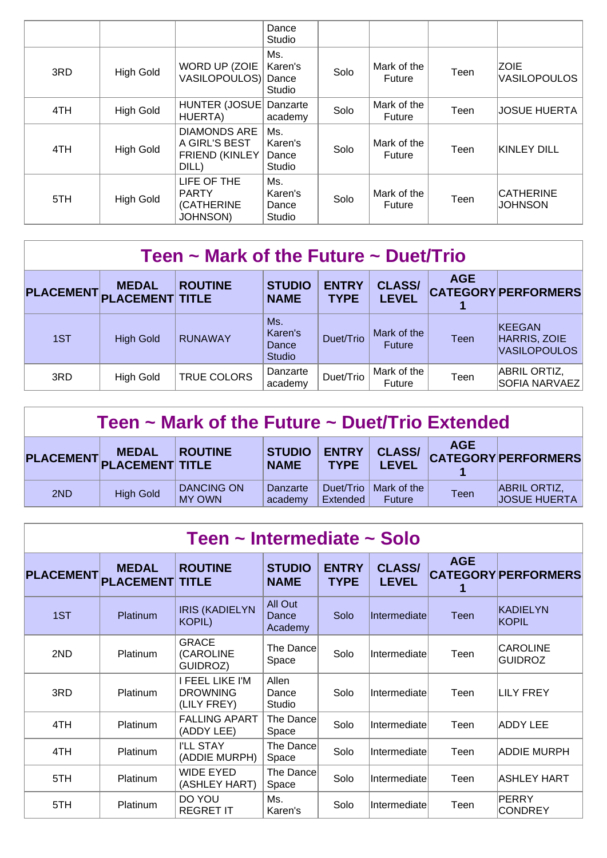|     |                  |                                                                 | Dance<br>Studio                   |      |                       |      |                                    |
|-----|------------------|-----------------------------------------------------------------|-----------------------------------|------|-----------------------|------|------------------------------------|
| 3RD | High Gold        | WORD UP (ZOIE<br>VASILOPOULOS)                                  | Ms.<br>Karen's<br>Dance<br>Studio | Solo | Mark of the<br>Future | Teen | <b>ZOIE</b><br><b>VASILOPOULOS</b> |
| 4TH | <b>High Gold</b> | HUNTER (JOSUE)<br>HUERTA)                                       | Danzarte<br>academy               | Solo | Mark of the<br>Future | Teen | JOSUE HUERTA                       |
| 4TH | <b>High Gold</b> | <b>DIAMONDS ARE</b><br>A GIRL'S BEST<br>FRIEND (KINLEY<br>DILL) | Ms.<br>Karen's<br>Dance<br>Studio | Solo | Mark of the<br>Future | Teen | KINLEY DILL                        |
| 5TH | <b>High Gold</b> | LIFE OF THE<br><b>PARTY</b><br>(CATHERINE<br><b>JOHNSON)</b>    | Ms.<br>Karen's<br>Dance<br>Studio | Solo | Mark of the<br>Future | Teen | <b>CATHERINE</b><br><b>JOHNSON</b> |

| Teen $\sim$ Mark of the Future $\sim$ Duet/Trio                                                                                                                                                                          |                  |                |                                          |           |                              |             |                                               |  |  |  |
|--------------------------------------------------------------------------------------------------------------------------------------------------------------------------------------------------------------------------|------------------|----------------|------------------------------------------|-----------|------------------------------|-------------|-----------------------------------------------|--|--|--|
| <b>AGE</b><br><b>CLASS/</b><br><b>ENTRY</b><br><b>STUDIO</b><br><b>ROUTINE</b><br><b>MEDAL</b><br><b>CATEGORY PERFORMERS</b><br><b>PLACEMENT</b><br><b>PLACEMENT TITLE</b><br><b>LEVEL</b><br><b>TYPE</b><br><b>NAME</b> |                  |                |                                          |           |                              |             |                                               |  |  |  |
| 1ST                                                                                                                                                                                                                      | <b>High Gold</b> | <b>RUNAWAY</b> | Ms.<br>Karen's<br>Dance<br><b>Studio</b> | Duet/Trio | Mark of the<br><b>Future</b> | <b>Teen</b> | KEEGAN<br>HARRIS, ZOIE<br><b>VASILOPOULOS</b> |  |  |  |
| 3RD                                                                                                                                                                                                                      | <b>High Gold</b> | TRUE COLORS    | Danzarte<br>academy                      | Duet/Trio | Mark of the<br><b>Future</b> | Teen        | <b>ABRIL ORTIZ,</b><br>SOFIA NARVAEZ          |  |  |  |

| Teen $\sim$ Mark of the Future $\sim$ Duet/Trio Extended                                                                                                                                                |                  |                                    |                     |                       |                       |             |                                            |  |  |
|---------------------------------------------------------------------------------------------------------------------------------------------------------------------------------------------------------|------------------|------------------------------------|---------------------|-----------------------|-----------------------|-------------|--------------------------------------------|--|--|
| <b>AGE</b><br><b>CLASS/</b><br><b>ENTRY</b><br><b>STUDIO</b><br><b>ROUTINE</b><br><b>MEDAL</b><br><b>CATEGORY PERFORMERS</b><br>PLACEMENT PLACEMENT TITLE<br><b>TYPE</b><br><b>LEVEL</b><br><b>NAME</b> |                  |                                    |                     |                       |                       |             |                                            |  |  |
| 2ND                                                                                                                                                                                                     | <b>High Gold</b> | <b>DANCING ON</b><br><b>MY OWN</b> | Danzarte<br>academy | Duet/Trio<br>Extended | Mark of the<br>Future | <b>Teen</b> | <b>ABRIL ORTIZ,</b><br><b>JOSUE HUERTA</b> |  |  |

## **Teen ~ Intermediate ~ Solo**

| <b>PLACEMENT</b> | <b>MEDAL</b><br><b>PLACEMENT TITLE</b> | <b>ROUTINE</b>                                           | <b>STUDIO</b><br><b>NAME</b> | <b>ENTRY</b><br><b>TYPE</b> | <b>CLASS/</b><br><b>LEVEL</b> | <b>AGE</b> | <b>CATEGORY PERFORMERS</b>        |
|------------------|----------------------------------------|----------------------------------------------------------|------------------------------|-----------------------------|-------------------------------|------------|-----------------------------------|
| 1ST              | Platinum                               | <b>IRIS (KADIELYN</b><br><b>KOPIL)</b>                   | All Out<br>Dance<br>Academy  | Solo                        | Intermediate                  | Teen       | KADIELYN<br><b>KOPIL</b>          |
| 2ND              | <b>Platinum</b>                        | <b>GRACE</b><br>(CAROLINE<br>GUIDROZ)                    | The Dancel<br>Space          | Solo                        | Intermediate                  | Teen       | <b>CAROLINE</b><br><b>GUIDROZ</b> |
| 3RD              | <b>Platinum</b>                        | <b>I FEEL LIKE I'M</b><br><b>DROWNING</b><br>(LILY FREY) | Allen<br>Dance<br>Studio     | Solo                        | Intermediate                  | Teen       | ILILY FREY                        |
| 4TH              | <b>Platinum</b>                        | <b>FALLING APART</b><br>(ADDY LEE)                       | The Dancel<br>Space          | Solo                        | Intermediate                  | Teen       | ADDY LEE                          |
| 4TH              | Platinum                               | <b>I'LL STAY</b><br>(ADDIE MURPH)                        | The Dance<br>Space           | Solo                        | Intermediate                  | Teen       | <b>ADDIE MURPH</b>                |
| 5TH              | <b>Platinum</b>                        | <b>WIDE EYED</b><br>(ASHLEY HART)                        | The Dancel<br>Space          | Solo                        | Intermediate                  | Teen       | <b>ASHLEY HART</b>                |
| 5TH              | Platinum                               | DO YOU<br><b>REGRET IT</b>                               | Ms.<br>Karen's               | Solo                        | Intermediate                  | Teen       | PERRY<br><b>CONDREY</b>           |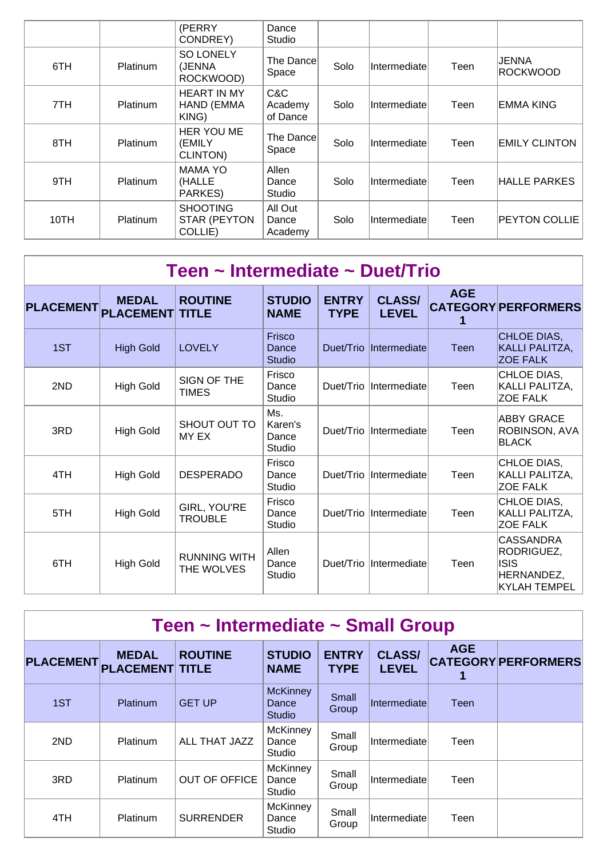|      |                 | (PERRY<br>CONDREY)                         | Dance<br>Studio             |      |              |      |                      |
|------|-----------------|--------------------------------------------|-----------------------------|------|--------------|------|----------------------|
| 6TH  | <b>Platinum</b> | <b>SO LONELY</b><br>(JENNA<br>ROCKWOOD)    | The Dance<br>Space          | Solo | Intermediate | Teen | JENNA<br>ROCKWOOD    |
| 7TH  | Platinum        | <b>HEART IN MY</b><br>HAND (EMMA<br>KING)  | C&C<br>Academy<br>of Dance  | Solo | Intermediate | Teen | EMMA KING            |
| 8TH  | <b>Platinum</b> | HER YOU ME<br>(EMILY<br>CLINTON)           | The Dance<br>Space          | Solo | Intermediate | Teen | <b>EMILY CLINTON</b> |
| 9TH  | <b>Platinum</b> | <b>MAMA YO</b><br>(HALLE<br>PARKES)        | Allen<br>Dance<br>Studio    | Solo | Intermediate | Teen | <b>HALLE PARKES</b>  |
| 10TH | <b>Platinum</b> | <b>SHOOTING</b><br>STAR (PEYTON<br>COLLIE) | All Out<br>Dance<br>Academy | Solo | Intermediate | Teen | PEYTON COLLIE        |

| Teen ~ Intermediate ~ Duet/Trio |                                  |                                   |                                   |                             |                               |             |                                                                                    |  |  |  |
|---------------------------------|----------------------------------|-----------------------------------|-----------------------------------|-----------------------------|-------------------------------|-------------|------------------------------------------------------------------------------------|--|--|--|
| <b>PLACEMENT</b>                | <b>MEDAL</b><br><b>PLACEMENT</b> | <b>ROUTINE</b><br><b>TITLE</b>    | <b>STUDIO</b><br><b>NAME</b>      | <b>ENTRY</b><br><b>TYPE</b> | <b>CLASS/</b><br><b>LEVEL</b> | <b>AGE</b>  | <b>CATEGORY PERFORMERS</b>                                                         |  |  |  |
| 1ST                             | <b>High Gold</b>                 | <b>LOVELY</b>                     | Frisco<br>Dance<br>Studio         | Duet/Trio                   | Intermediate                  | <b>Teen</b> | CHLOE DIAS,<br><b>KALLI PALITZA,</b><br><b>ZOE FALK</b>                            |  |  |  |
| 2ND                             | <b>High Gold</b>                 | SIGN OF THE<br><b>TIMES</b>       | Frisco<br>Dance<br>Studio         |                             | Duet/Trio Intermediate        | Teen        | CHLOE DIAS,<br>KALLI PALITZA,<br><b>ZOE FALK</b>                                   |  |  |  |
| 3RD                             | <b>High Gold</b>                 | SHOUT OUT TO<br>MY EX             | Ms.<br>Karen's<br>Dance<br>Studio |                             | Duet/Trio Intermediate        | Teen        | ABBY GRACE<br>ROBINSON, AVA<br><b>BLACK</b>                                        |  |  |  |
| 4TH                             | <b>High Gold</b>                 | <b>DESPERADO</b>                  | Frisco<br>Dance<br>Studio         |                             | Duet/Trio Intermediate        | Teen        | CHLOE DIAS,<br>KALLI PALITZA,<br><b>ZOE FALK</b>                                   |  |  |  |
| 5TH                             | <b>High Gold</b>                 | GIRL, YOU'RE<br><b>TROUBLE</b>    | Frisco<br>Dance<br>Studio         |                             | Duet/Trio Intermediate        | Teen        | CHLOE DIAS,<br>KALLI PALITZA,<br><b>ZOE FALK</b>                                   |  |  |  |
| 6TH                             | <b>High Gold</b>                 | <b>RUNNING WITH</b><br>THE WOLVES | Allen<br>Dance<br>Studio          |                             | Duet/Trio Intermediate        | Teen        | <b>CASSANDRA</b><br>RODRIGUEZ,<br><b>ISIS</b><br>HERNANDEZ,<br><b>KYLAH TEMPEL</b> |  |  |  |

|  | Teen ~ Intermediate ~ Small Group |  |  |
|--|-----------------------------------|--|--|
|--|-----------------------------------|--|--|

| <b>PLACEMENT</b> | <b>MEDAL</b><br><b>PLACEMENT TITLE</b> | <b>ROUTINE</b>       | <b>STUDIO</b><br><b>NAME</b>              | <b>ENTRY</b><br><b>TYPE</b> | <b>CLASS/</b><br><b>LEVEL</b> | <b>AGE</b> | <b>CATEGORY PERFORMERS</b> |
|------------------|----------------------------------------|----------------------|-------------------------------------------|-----------------------------|-------------------------------|------------|----------------------------|
| 1ST              | <b>Platinum</b>                        | <b>GET UP</b>        | <b>McKinney</b><br>Dance<br><b>Studio</b> | <b>Small</b><br>Group       | Intermediate                  | Teen       |                            |
| 2ND              | Platinum                               | <b>ALL THAT JAZZ</b> | <b>McKinney</b><br>Dance<br>Studio        | Small<br>Group              | Intermediate                  | Teen       |                            |
| 3RD              | Platinum                               | OUT OF OFFICE        | McKinney<br>Dance<br>Studio               | Small<br>Group              | Intermediate                  | Teen       |                            |
| 4TH              | Platinum                               | <b>SURRENDER</b>     | McKinney<br>Dance<br>Studio               | Small<br>Group              | Intermediate                  | Teen       |                            |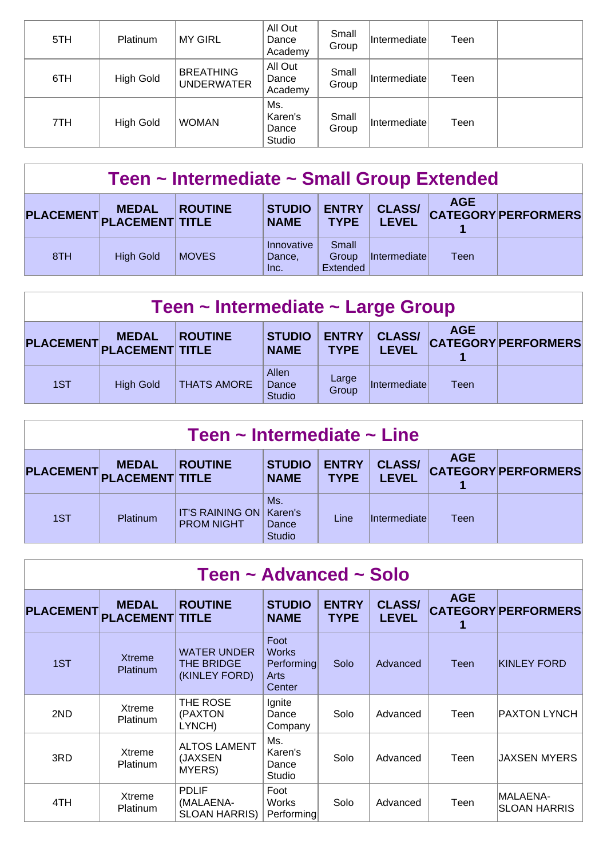| 5TH | Platinum         | <b>MY GIRL</b>                        | All Out<br>Dance<br>Academy       | Small<br>Group | <b>Intermediate</b> | Teen |  |
|-----|------------------|---------------------------------------|-----------------------------------|----------------|---------------------|------|--|
| 6TH | <b>High Gold</b> | <b>BREATHING</b><br><b>UNDERWATER</b> | All Out<br>Dance<br>Academy       | Small<br>Group | <b>Intermediate</b> | Teen |  |
| 7TH | <b>High Gold</b> | <b>WOMAN</b>                          | Ms.<br>Karen's<br>Dance<br>Studio | Small<br>Group | Intermediate        | Teen |  |

| Teen ~ Intermediate ~ Small Group Extended |                  |                |                              |                             |                               |            |                            |  |  |
|--------------------------------------------|------------------|----------------|------------------------------|-----------------------------|-------------------------------|------------|----------------------------|--|--|
| PLACEMENT PLACEMENT TITLE                  | <b>MEDAL</b>     | <b>ROUTINE</b> | <b>STUDIO</b><br><b>NAME</b> | <b>ENTRY</b><br><b>TYPE</b> | <b>CLASS/</b><br><b>LEVEL</b> | <b>AGE</b> | <b>CATEGORY PERFORMERS</b> |  |  |
| 8TH                                        | <b>High Gold</b> | <b>MOVES</b>   | Innovative<br>Dance,<br>Inc. | Small<br>Group<br>Extended  | Intermediate                  | Teen       |                            |  |  |

| Teen ~ Intermediate ~ Large Group |                                        |                    |                                 |                             |                               |            |                            |  |  |
|-----------------------------------|----------------------------------------|--------------------|---------------------------------|-----------------------------|-------------------------------|------------|----------------------------|--|--|
| <b>PLACEMENT</b>                  | <b>MEDAL</b><br><b>PLACEMENT TITLE</b> | <b>ROUTINE</b>     | <b>STUDIO</b><br><b>NAME</b>    | <b>ENTRY</b><br><b>TYPE</b> | <b>CLASS/</b><br><b>LEVEL</b> | <b>AGE</b> | <b>CATEGORY PERFORMERS</b> |  |  |
| 1ST                               | <b>High Gold</b>                       | <b>THATS AMORE</b> | Allen<br>Dance<br><b>Studio</b> | Large<br>Group              | <i>Intermediate</i>           | Teen       |                            |  |  |

| Teen $\sim$ Intermediate $\sim$ Line |                                        |                                             |                                          |                             |                               |            |                            |  |  |
|--------------------------------------|----------------------------------------|---------------------------------------------|------------------------------------------|-----------------------------|-------------------------------|------------|----------------------------|--|--|
| <b>PLACEMENT</b>                     | <b>MEDAL</b><br><b>PLACEMENT TITLE</b> | <b>ROUTINE</b>                              | <b>STUDIO</b><br><b>NAME</b>             | <b>ENTRY</b><br><b>TYPE</b> | <b>CLASS/</b><br><b>LEVEL</b> | <b>AGE</b> | <b>CATEGORY PERFORMERS</b> |  |  |
| 1ST                                  | <b>Platinum</b>                        | <b>IT'S RAINING ON</b><br><b>PROM NIGHT</b> | Ms.<br>Karen's<br>Dance<br><b>Studio</b> | Line                        | Intermediatel                 | Teen       |                            |  |  |

| Teen ~ Advanced ~ Solo |                                        |                                                   |                                                      |                             |                               |             |                                 |  |  |  |
|------------------------|----------------------------------------|---------------------------------------------------|------------------------------------------------------|-----------------------------|-------------------------------|-------------|---------------------------------|--|--|--|
| <b>PLACEMENT</b>       | <b>MEDAL</b><br><b>PLACEMENT TITLE</b> | <b>ROUTINE</b>                                    | <b>STUDIO</b><br><b>NAME</b>                         | <b>ENTRY</b><br><b>TYPE</b> | <b>CLASS/</b><br><b>LEVEL</b> | <b>AGE</b>  | <b>CATEGORY PERFORMERS</b>      |  |  |  |
| 1ST                    | <b>Xtreme</b><br>Platinum              | <b>WATER UNDER</b><br>THE BRIDGE<br>(KINLEY FORD) | Foot<br><b>Works</b><br>Performing<br>Arts<br>Center | Solo                        | Advanced                      | <b>Teen</b> | <b>KINLEY FORD</b>              |  |  |  |
| 2ND                    | Xtreme<br>Platinum                     | THE ROSE<br>(PAXTON<br>LYNCH)                     | Ignite<br>Dance<br>Company                           | Solo                        | Advanced                      | Teen        | PAXTON LYNCH                    |  |  |  |
| 3RD                    | Xtreme<br>Platinum                     | <b>ALTOS LAMENT</b><br>(JAXSEN<br>MYERS)          | Ms.<br>Karen's<br>Dance<br>Studio                    | Solo                        | Advanced                      | Teen        | JAXSEN MYERS                    |  |  |  |
| 4TH                    | Xtreme<br>Platinum                     | <b>PDLIF</b><br>(MALAENA-<br>SLOAN HARRIS)        | Foot<br>Works<br>Performing                          | Solo                        | Advanced                      | Teen        | MALAENA-<br><b>SLOAN HARRIS</b> |  |  |  |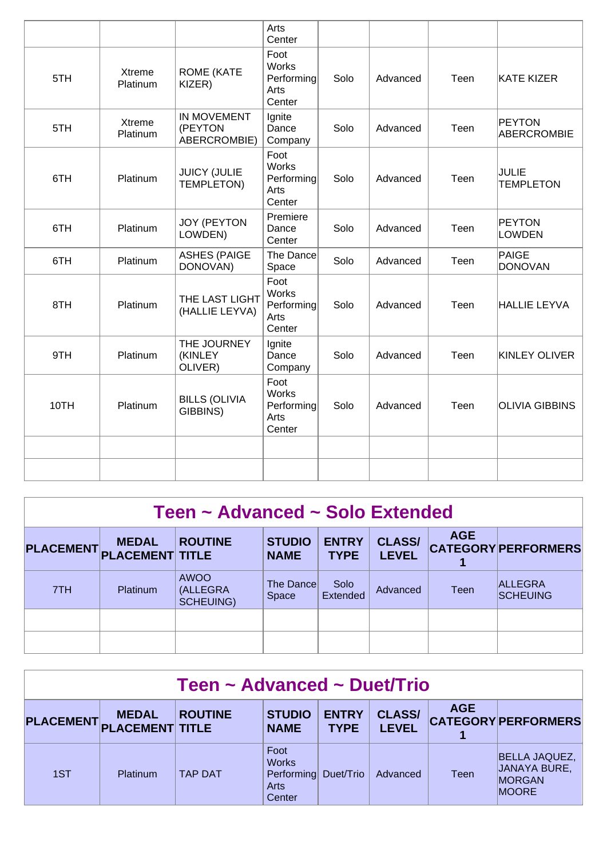|      |                    |                                               | Arts<br>Center                                       |      |          |      |                                  |
|------|--------------------|-----------------------------------------------|------------------------------------------------------|------|----------|------|----------------------------------|
| 5TH  | Xtreme<br>Platinum | <b>ROME (KATE</b><br>KIZER)                   | Foot<br><b>Works</b><br>Performing<br>Arts<br>Center | Solo | Advanced | Teen | <b>KATE KIZER</b>                |
| 5TH  | Xtreme<br>Platinum | <b>IN MOVEMENT</b><br>(PEYTON<br>ABERCROMBIE) | Ignite<br>Dance<br>Company                           | Solo | Advanced | Teen | PEYTON<br><b>ABERCROMBIE</b>     |
| 6TH  | Platinum           | <b>JUICY (JULIE</b><br>TEMPLETON)             | Foot<br><b>Works</b><br>Performing<br>Arts<br>Center | Solo | Advanced | Teen | <b>JULIE</b><br><b>TEMPLETON</b> |
| 6TH  | Platinum           | <b>JOY (PEYTON</b><br>LOWDEN)                 | Premiere<br>Dance<br>Center                          | Solo | Advanced | Teen | PEYTON<br><b>LOWDEN</b>          |
| 6TH  | Platinum           | <b>ASHES (PAIGE</b><br>DONOVAN)               | The Dance<br>Space                                   | Solo | Advanced | Teen | PAIGE<br><b>DONOVAN</b>          |
| 8TH  | Platinum           | THE LAST LIGHT<br>(HALLIE LEYVA)              | Foot<br><b>Works</b><br>Performing<br>Arts<br>Center | Solo | Advanced | Teen | <b>HALLIE LEYVA</b>              |
| 9TH  | Platinum           | THE JOURNEY<br>(KINLEY<br>OLIVER)             | Ignite<br>Dance<br>Company                           | Solo | Advanced | Teen | <b>KINLEY OLIVER</b>             |
| 10TH | Platinum           | <b>BILLS (OLIVIA</b><br>GIBBINS)              | Foot<br><b>Works</b><br>Performing<br>Arts<br>Center | Solo | Advanced | Teen | <b>OLIVIA GIBBINS</b>            |
|      |                    |                                               |                                                      |      |          |      |                                  |
|      |                    |                                               |                                                      |      |          |      |                                  |

### **Teen ~ Advanced ~ Solo Extended**

| PLACEMENT PLACEMENT TITLE | <b>MEDAL</b>    | <b>ROUTINE</b>                       | <b>STUDIO</b><br><b>NAME</b> | <b>ENTRY</b><br><b>TYPE</b> | <b>CLASS/</b><br><b>LEVEL</b> | <b>AGE</b> | <b>CATEGORY PERFORMERS</b>        |
|---------------------------|-----------------|--------------------------------------|------------------------------|-----------------------------|-------------------------------|------------|-----------------------------------|
| 7TH                       | <b>Platinum</b> | AWOO<br>(ALLEGRA<br><b>SCHEUING)</b> | The Dance<br><b>Space</b>    | Solo<br><b>Extended</b>     | Advanced                      | Teen       | <b>ALLEGRA</b><br><b>SCHEUING</b> |
|                           |                 |                                      |                              |                             |                               |            |                                   |
|                           |                 |                                      |                              |                             |                               |            |                                   |

| Teen ~ Advanced ~ Duet/Trio |              |                |                                                                |                             |                               |             |                                                                       |  |  |  |
|-----------------------------|--------------|----------------|----------------------------------------------------------------|-----------------------------|-------------------------------|-------------|-----------------------------------------------------------------------|--|--|--|
| PLACEMENT PLACEMENT TITLE   | <b>MEDAL</b> | <b>ROUTINE</b> | <b>STUDIO</b><br><b>NAME</b>                                   | <b>ENTRY</b><br><b>TYPE</b> | <b>CLASS/</b><br><b>LEVEL</b> | <b>AGE</b>  | <b>CATEGORY PERFORMERS</b>                                            |  |  |  |
| 1ST                         | Platinum     | <b>TAP DAT</b> | Foot<br><b>Works</b><br>Performing Duet/Trio<br>Arts<br>Center |                             | Advanced                      | <b>Teen</b> | <b>BELLA JAQUEZ,</b><br>JANAYA BURE,<br><b>MORGAN</b><br><b>MOORE</b> |  |  |  |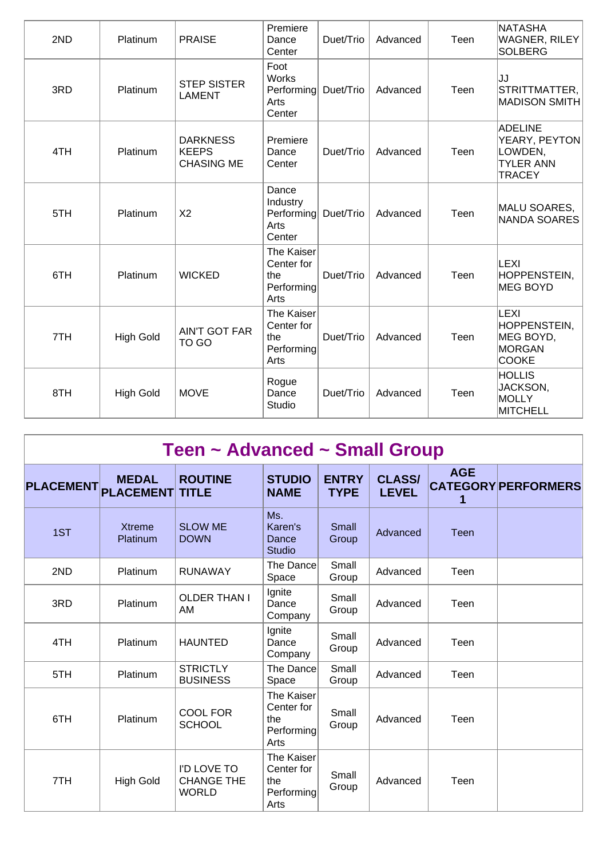| 2ND | Platinum         | <b>PRAISE</b>                                        | Premiere<br>Dance<br>Center                           | Duet/Trio | Advanced | Teen | NATASHA<br>WAGNER, RILEY<br><b>SOLBERG</b>                                      |
|-----|------------------|------------------------------------------------------|-------------------------------------------------------|-----------|----------|------|---------------------------------------------------------------------------------|
| 3RD | Platinum         | <b>STEP SISTER</b><br><b>LAMENT</b>                  | Foot<br>Works<br>Performing<br>Arts<br>Center         | Duet/Trio | Advanced | Teen | IJJ<br>STRITTMATTER,<br><b>MADISON SMITH</b>                                    |
| 4TH | Platinum         | <b>DARKNESS</b><br><b>KEEPS</b><br><b>CHASING ME</b> | Premiere<br>Dance<br>Center                           | Duet/Trio | Advanced | Teen | <b>ADELINE</b><br>YEARY, PEYTON<br>LOWDEN,<br><b>TYLER ANN</b><br><b>TRACEY</b> |
| 5TH | Platinum         | X <sub>2</sub>                                       | Dance<br>Industry<br>Performing<br>Arts<br>Center     | Duet/Trio | Advanced | Teen | MALU SOARES,<br><b>NANDA SOARES</b>                                             |
| 6TH | Platinum         | <b>WICKED</b>                                        | The Kaiser<br>Center for<br>the<br>Performing<br>Arts | Duet/Trio | Advanced | Teen | LEXI<br><b>HOPPENSTEIN,</b><br><b>MEG BOYD</b>                                  |
| 7TH | <b>High Gold</b> | <b>AIN'T GOT FAR</b><br>TO GO                        | The Kaiser<br>Center for<br>the<br>Performing<br>Arts | Duet/Trio | Advanced | Teen | LEXI<br>HOPPENSTEIN,<br>MEG BOYD,<br><b>MORGAN</b><br><b>COOKE</b>              |
| 8TH | <b>High Gold</b> | <b>MOVE</b>                                          | Rogue<br>Dance<br>Studio                              | Duet/Trio | Advanced | Teen | <b>HOLLIS</b><br>JACKSON,<br>MOLLY<br><b>MITCHELL</b>                           |

| Teen ~ Advanced ~ Small Group |                                  |                                                  |                                                       |                             |                               |                 |                            |  |  |  |  |
|-------------------------------|----------------------------------|--------------------------------------------------|-------------------------------------------------------|-----------------------------|-------------------------------|-----------------|----------------------------|--|--|--|--|
| <b>PLACEMENT</b>              | <b>MEDAL</b><br><b>PLACEMENT</b> | <b>ROUTINE</b><br><b>TITLE</b>                   | <b>STUDIO</b><br><b>NAME</b>                          | <b>ENTRY</b><br><b>TYPE</b> | <b>CLASS/</b><br><b>LEVEL</b> | <b>AGE</b><br>1 | <b>CATEGORY PERFORMERS</b> |  |  |  |  |
| 1ST                           | <b>Xtreme</b><br>Platinum        | <b>SLOW ME</b><br><b>DOWN</b>                    | Ms.<br>Karen's<br>Dance<br><b>Studio</b>              | Small<br>Group              | Advanced                      | <b>Teen</b>     |                            |  |  |  |  |
| 2ND                           | Platinum                         | <b>RUNAWAY</b>                                   | The Dance<br>Space                                    | Small<br>Group              | Advanced                      | Teen            |                            |  |  |  |  |
| 3RD                           | Platinum                         | <b>OLDER THAN I</b><br>AM                        | Ignite<br>Dance<br>Company                            | Small<br>Group              | Advanced                      | Teen            |                            |  |  |  |  |
| 4TH                           | Platinum                         | <b>HAUNTED</b>                                   | Ignite<br>Dance<br>Company                            | Small<br>Group              | Advanced                      | Teen            |                            |  |  |  |  |
| 5TH                           | Platinum                         | <b>STRICTLY</b><br><b>BUSINESS</b>               | The Dance<br>Space                                    | Small<br>Group              | Advanced                      | Teen            |                            |  |  |  |  |
| 6TH                           | Platinum                         | <b>COOL FOR</b><br><b>SCHOOL</b>                 | The Kaiser<br>Center for<br>the<br>Performing<br>Arts | Small<br>Group              | Advanced                      | Teen            |                            |  |  |  |  |
| 7TH                           | <b>High Gold</b>                 | I'D LOVE TO<br><b>CHANGE THE</b><br><b>WORLD</b> | The Kaiser<br>Center for<br>the<br>Performing<br>Arts | Small<br>Group              | Advanced                      | Teen            |                            |  |  |  |  |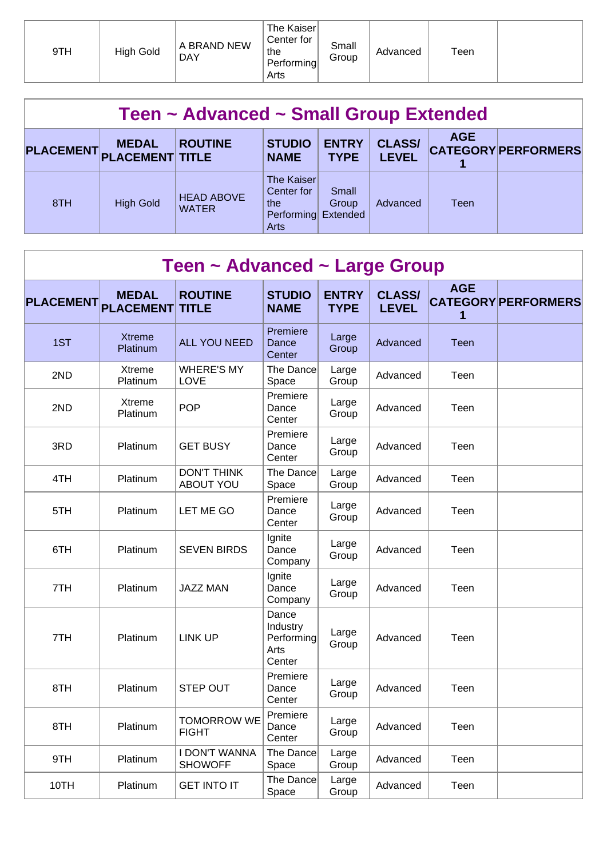| 9TH | High Gold | A BRAND NEW<br><b>DAY</b> | The Kaiser<br>Center for<br>the<br>Performing<br>Arts | Small<br>Group | Advanced | $\tau$ een |  |
|-----|-----------|---------------------------|-------------------------------------------------------|----------------|----------|------------|--|
|-----|-----------|---------------------------|-------------------------------------------------------|----------------|----------|------------|--|

| Teen ~ Advanced ~ Small Group Extended |                                        |                                   |                                                                 |                             |                               |            |                            |  |  |  |
|----------------------------------------|----------------------------------------|-----------------------------------|-----------------------------------------------------------------|-----------------------------|-------------------------------|------------|----------------------------|--|--|--|
| <b>PLACEMENT</b>                       | <b>MEDAL</b><br><b>PLACEMENT TITLE</b> | <b>ROUTINE</b>                    | <b>STUDIO</b><br><b>NAME</b>                                    | <b>ENTRY</b><br><b>TYPE</b> | <b>CLASS/</b><br><b>LEVEL</b> | <b>AGE</b> | <b>CATEGORY PERFORMERS</b> |  |  |  |
| 8TH                                    | <b>High Gold</b>                       | <b>HEAD ABOVE</b><br><b>WATER</b> | The Kaiser<br>Center for<br>the.<br>Performing Extended<br>Arts | Small<br>Group              | Advanced                      | Teen       |                            |  |  |  |

| Teen ~ Advanced ~ Large Group |                                  |                                        |                                                   |                             |                               |                 |                            |  |  |  |
|-------------------------------|----------------------------------|----------------------------------------|---------------------------------------------------|-----------------------------|-------------------------------|-----------------|----------------------------|--|--|--|
| <b>PLACEMENT</b>              | <b>MEDAL</b><br><b>PLACEMENT</b> | <b>ROUTINE</b><br><b>TITLE</b>         | <b>STUDIO</b><br><b>NAME</b>                      | <b>ENTRY</b><br><b>TYPE</b> | <b>CLASS/</b><br><b>LEVEL</b> | <b>AGE</b><br>1 | <b>CATEGORY PERFORMERS</b> |  |  |  |
| 1ST                           | <b>Xtreme</b><br>Platinum        | <b>ALL YOU NEED</b>                    | Premiere<br>Dance<br>Center                       | Large<br>Group              | Advanced                      | <b>Teen</b>     |                            |  |  |  |
| 2ND                           | Xtreme<br>Platinum               | <b>WHERE'S MY</b><br><b>LOVE</b>       | The Dance<br>Space                                | Large<br>Group              | Advanced                      | Teen            |                            |  |  |  |
| 2ND                           | Xtreme<br>Platinum               | <b>POP</b>                             | Premiere<br>Dance<br>Center                       | Large<br>Group              | Advanced                      | Teen            |                            |  |  |  |
| 3RD                           | Platinum                         | <b>GET BUSY</b>                        | Premiere<br>Dance<br>Center                       | Large<br>Group              | Advanced                      | Teen            |                            |  |  |  |
| 4TH                           | Platinum                         | <b>DON'T THINK</b><br><b>ABOUT YOU</b> | The Dance<br>Space                                | Large<br>Group              | Advanced                      | Teen            |                            |  |  |  |
| 5TH                           | Platinum                         | LET ME GO                              | Premiere<br>Dance<br>Center                       | Large<br>Group              | Advanced                      | Teen            |                            |  |  |  |
| 6TH                           | Platinum                         | <b>SEVEN BIRDS</b>                     | Ignite<br>Dance<br>Company                        | Large<br>Group              | Advanced                      | Teen            |                            |  |  |  |
| 7TH                           | Platinum                         | <b>JAZZ MAN</b>                        | Ignite<br>Dance<br>Company                        | Large<br>Group              | Advanced                      | Teen            |                            |  |  |  |
| 7TH                           | Platinum                         | <b>LINK UP</b>                         | Dance<br>Industry<br>Performing<br>Arts<br>Center | Large<br>Group              | Advanced                      | Teen            |                            |  |  |  |
| 8TH                           | Platinum                         | <b>STEP OUT</b>                        | Premiere<br>Dance<br>Center                       | Large<br>Group              | Advanced                      | Teen            |                            |  |  |  |
| 8TH                           | Platinum                         | <b>TOMORROW WE</b><br><b>FIGHT</b>     | Premiere<br>Dance<br>Center                       | Large<br>Group              | Advanced                      | Teen            |                            |  |  |  |
| 9TH                           | Platinum                         | <b>I DON'T WANNA</b><br><b>SHOWOFF</b> | The Dance<br>Space                                | Large<br>Group              | Advanced                      | Teen            |                            |  |  |  |
| 10TH                          | Platinum                         | <b>GET INTO IT</b>                     | The Dance<br>Space                                | Large<br>Group              | Advanced                      | Teen            |                            |  |  |  |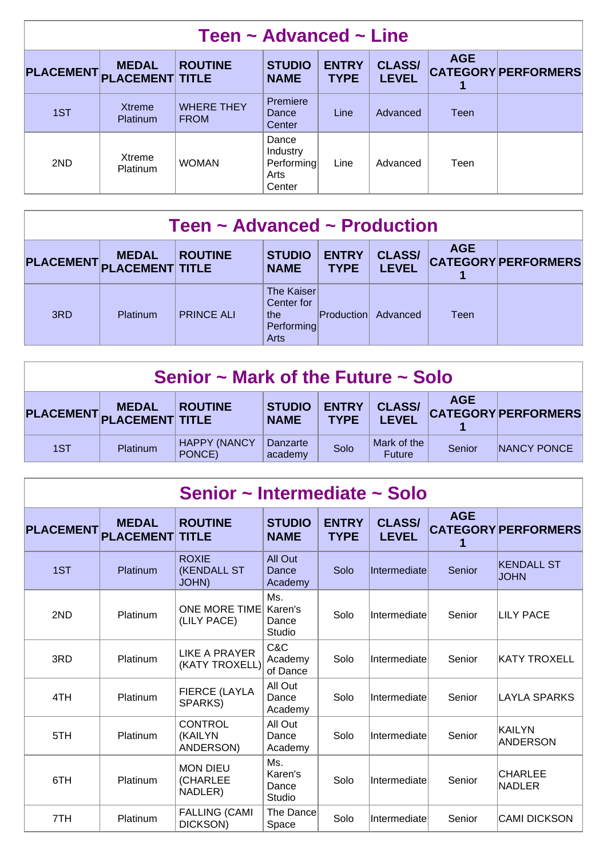| Teen $\sim$ Advanced $\sim$ Line |                                        |                                  |                                                   |                             |                               |            |                            |  |  |  |
|----------------------------------|----------------------------------------|----------------------------------|---------------------------------------------------|-----------------------------|-------------------------------|------------|----------------------------|--|--|--|
| <b>PLACEMENT</b>                 | <b>MEDAL</b><br><b>PLACEMENT TITLE</b> | <b>ROUTINE</b>                   | <b>STUDIO</b><br><b>NAME</b>                      | <b>ENTRY</b><br><b>TYPE</b> | <b>CLASS/</b><br><b>LEVEL</b> | <b>AGE</b> | <b>CATEGORY PERFORMERS</b> |  |  |  |
| 1ST                              | <b>Xtreme</b><br>Platinum              | <b>WHERE THEY</b><br><b>FROM</b> | Premiere<br><b>Dance</b><br>Center                | Line                        | Advanced                      | Teen       |                            |  |  |  |
| 2ND                              | Xtreme<br>Platinum                     | <b>WOMAN</b>                     | Dance<br>Industry<br>Performing<br>Arts<br>Center | Line                        | Advanced                      | Teen       |                            |  |  |  |

| Teen ~ Advanced ~ Production |                                        |                   |                                                       |                             |                               |            |                            |  |  |  |
|------------------------------|----------------------------------------|-------------------|-------------------------------------------------------|-----------------------------|-------------------------------|------------|----------------------------|--|--|--|
| <b>PLACEMENT</b>             | <b>MEDAL</b><br><b>PLACEMENT TITLE</b> | <b>ROUTINE</b>    | <b>STUDIO</b><br><b>NAME</b>                          | <b>ENTRY</b><br><b>TYPE</b> | <b>CLASS/</b><br><b>LEVEL</b> | <b>AGE</b> | <b>CATEGORY PERFORMERS</b> |  |  |  |
| 3RD                          | Platinum                               | <b>PRINCE ALI</b> | The Kaiser<br>Center for<br>the<br>Performing<br>Arts | <b>Production</b>           | Advanced                      | Teen       |                            |  |  |  |

| Senior $\sim$ Mark of the Future $\sim$ Solo                                                                                                                                                            |                 |                               |                     |      |                       |        |             |  |  |
|---------------------------------------------------------------------------------------------------------------------------------------------------------------------------------------------------------|-----------------|-------------------------------|---------------------|------|-----------------------|--------|-------------|--|--|
| <b>AGE</b><br><b>CLASS/</b><br><b>ENTRY</b><br><b>STUDIO</b><br><b>MEDAL</b><br><b>ROUTINE</b><br><b>CATEGORY PERFORMERS</b><br>PLACEMENT PLACEMENT TITLE<br><b>LEVEL</b><br><b>NAME</b><br><b>TYPE</b> |                 |                               |                     |      |                       |        |             |  |  |
| 1ST                                                                                                                                                                                                     | <b>Platinum</b> | <b>HAPPY (NANCY</b><br>PONCE) | Danzarte<br>academy | Solo | Mark of the<br>Future | Senior | NANCY PONCE |  |  |

| Senior ~ Intermediate ~ Solo |                                  |                                                     |                                   |                             |                               |                 |                                  |  |  |  |
|------------------------------|----------------------------------|-----------------------------------------------------|-----------------------------------|-----------------------------|-------------------------------|-----------------|----------------------------------|--|--|--|
| <b>PLACEMENT</b>             | <b>MEDAL</b><br><b>PLACEMENT</b> | <b>ROUTINE</b><br><b>TITLE</b>                      | <b>STUDIO</b><br><b>NAME</b>      | <b>ENTRY</b><br><b>TYPE</b> | <b>CLASS/</b><br><b>LEVEL</b> | <b>AGE</b><br>1 | <b>CATEGORY PERFORMERS</b>       |  |  |  |
| 1ST                          | Platinum                         | <b>ROXIE</b><br><b>(KENDALL ST)</b><br><b>JOHN)</b> | All Out<br>Dance<br>Academy       | Solo                        | Intermediate                  | Senior          | <b>KENDALL ST</b><br><b>JOHN</b> |  |  |  |
| 2ND                          | Platinum                         | <b>ONE MORE TIME</b><br>(LILY PACE)                 | Ms.<br>Karen's<br>Dance<br>Studio | Solo                        | Intermediate                  | Senior          | <b>LILY PACE</b>                 |  |  |  |
| 3RD                          | Platinum                         | <b>LIKE A PRAYER</b><br>(KATY TROXELL)              | C&C<br>Academy<br>of Dance        | Solo                        | Intermediate                  | Senior          | <b>KATY TROXELL</b>              |  |  |  |
| 4TH                          | Platinum                         | <b>FIERCE (LAYLA</b><br>SPARKS)                     | All Out<br>Dance<br>Academy       | Solo                        | Intermediate                  | Senior          | <b>LAYLA SPARKS</b>              |  |  |  |
| 5TH                          | Platinum                         | <b>CONTROL</b><br>(KAILYN<br>ANDERSON)              | All Out<br>Dance<br>Academy       | Solo                        | Intermediate                  | Senior          | KAILYN<br><b>ANDERSON</b>        |  |  |  |
| 6TH                          | Platinum                         | <b>MON DIEU</b><br>(CHARLEE<br>NADLER)              | Ms.<br>Karen's<br>Dance<br>Studio | Solo                        | Intermediate                  | Senior          | <b>CHARLEE</b><br><b>NADLER</b>  |  |  |  |
| 7TH                          | Platinum                         | <b>FALLING (CAMI</b><br>DICKSON)                    | The Dance<br>Space                | Solo                        | Intermediate                  | Senior          | <b>CAMI DICKSON</b>              |  |  |  |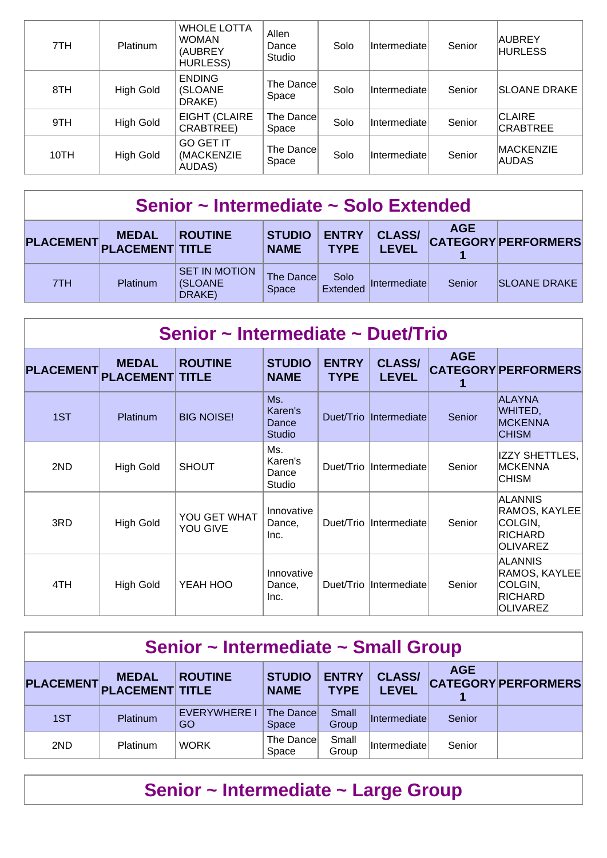| 7TH  | <b>Platinum</b> | <b>WHOLE LOTTA</b><br><b>WOMAN</b><br>(AUBREY<br><b>HURLESS)</b> | Allen<br>Dance<br>Studio | Solo | Intermediate | Senior | AUBREY<br><b>HURLESS</b>         |
|------|-----------------|------------------------------------------------------------------|--------------------------|------|--------------|--------|----------------------------------|
| 8TH  | High Gold       | <b>ENDING</b><br>(SLOANE<br>DRAKE)                               | The Dance<br>Space       | Solo | Intermediate | Senior | <b>SLOANE DRAKE</b>              |
| 9TH  | High Gold       | <b>EIGHT (CLAIRE</b><br>CRABTREE)                                | The Dance<br>Space       | Solo | Intermediate | Senior | <b>CLAIRE</b><br><b>CRABTREE</b> |
| 10TH | High Gold       | <b>GO GET IT</b><br>(MACKENZIE<br>AUDAS)                         | The Dancel<br>Space      | Solo | Intermediate | Senior | <b>MACKENZIE</b><br><b>AUDAS</b> |

## **Senior ~ Intermediate ~ Solo Extended**

| PLACEMENT PLACEMENT TITLE | <b>MEDAL</b>    | <b>ROUTINE</b>                             | <b>STUDIO</b><br><b>NAME</b> | <b>ENTRY</b><br><b>TYPE</b> | <b>CLASS/</b><br><b>LEVEL</b> | <b>AGE</b> | <b>CATEGORY PERFORMERS</b> |
|---------------------------|-----------------|--------------------------------------------|------------------------------|-----------------------------|-------------------------------|------------|----------------------------|
| 7TH                       | <b>Platinum</b> | <b>SET IN MOTION</b><br>(SLOANE)<br>DRAKE) | The Dance<br>Space           | Solo<br>Extended            | <b>Intermediate</b>           | Senior     | <b>SLOANE DRAKE</b>        |

| Senior ~ Intermediate ~ Duet/Trio |                                  |                                |                                          |                             |                               |                 |                                                                                 |  |  |  |  |
|-----------------------------------|----------------------------------|--------------------------------|------------------------------------------|-----------------------------|-------------------------------|-----------------|---------------------------------------------------------------------------------|--|--|--|--|
| <b>PLACEMENT</b>                  | <b>MEDAL</b><br><b>PLACEMENT</b> | <b>ROUTINE</b><br><b>TITLE</b> | <b>STUDIO</b><br><b>NAME</b>             | <b>ENTRY</b><br><b>TYPE</b> | <b>CLASS/</b><br><b>LEVEL</b> | <b>AGE</b><br>1 | <b>CATEGORY PERFORMERS</b>                                                      |  |  |  |  |
| 1ST                               | Platinum                         | <b>BIG NOISE!</b>              | Ms.<br>Karen's<br>Dance<br><b>Studio</b> |                             | Duet/Trio  Intermediate       | Senior          | <b>ALAYNA</b><br>WHITED,<br><b>MCKENNA</b><br><b>CHISM</b>                      |  |  |  |  |
| 2ND                               | <b>High Gold</b>                 | <b>SHOUT</b>                   | Ms.<br>Karen's<br>Dance<br>Studio        |                             | Duet/Trio  Intermediate       | Senior          | <b>IZZY SHETTLES,</b><br>MCKENNA<br><b>CHISM</b>                                |  |  |  |  |
| 3RD                               | <b>High Gold</b>                 | YOU GET WHAT<br>YOU GIVE       | Innovative<br>Dance,<br>Inc.             |                             | Duet/Trio  Intermediate       | Senior          | <b>ALANNIS</b><br>RAMOS, KAYLEE<br>COLGIN,<br><b>RICHARD</b><br><b>OLIVAREZ</b> |  |  |  |  |
| 4TH                               | High Gold                        | YEAH HOO                       | Innovative<br>Dance,<br>Inc.             |                             | Duet/Trio Intermediate        | Senior          | <b>ALANNIS</b><br>RAMOS, KAYLEE<br>COLGIN,<br><b>RICHARD</b><br><b>OLIVAREZ</b> |  |  |  |  |

| Senior ~ Intermediate ~ Small Group |                                        |                           |                              |                             |                               |            |                            |  |  |
|-------------------------------------|----------------------------------------|---------------------------|------------------------------|-----------------------------|-------------------------------|------------|----------------------------|--|--|
| <b>PLACEMENT</b>                    | <b>MEDAL</b><br><b>PLACEMENT TITLE</b> | <b>ROUTINE</b>            | <b>STUDIO</b><br><b>NAME</b> | <b>ENTRY</b><br><b>TYPE</b> | <b>CLASS/</b><br><b>LEVEL</b> | <b>AGE</b> | <b>CATEGORY PERFORMERS</b> |  |  |
| 1ST                                 | Platinum                               | <b>EVERYWHERE I</b><br>GO | The Dancel<br><b>Space</b>   | Small<br>Group              | Intermediate                  | Senior     |                            |  |  |
| 2ND                                 | Platinum                               | <b>WORK</b>               | The Dance<br>Space           | Small<br>Group              | Intermediate                  | Senior     |                            |  |  |

## **Senior ~ Intermediate ~ Large Group**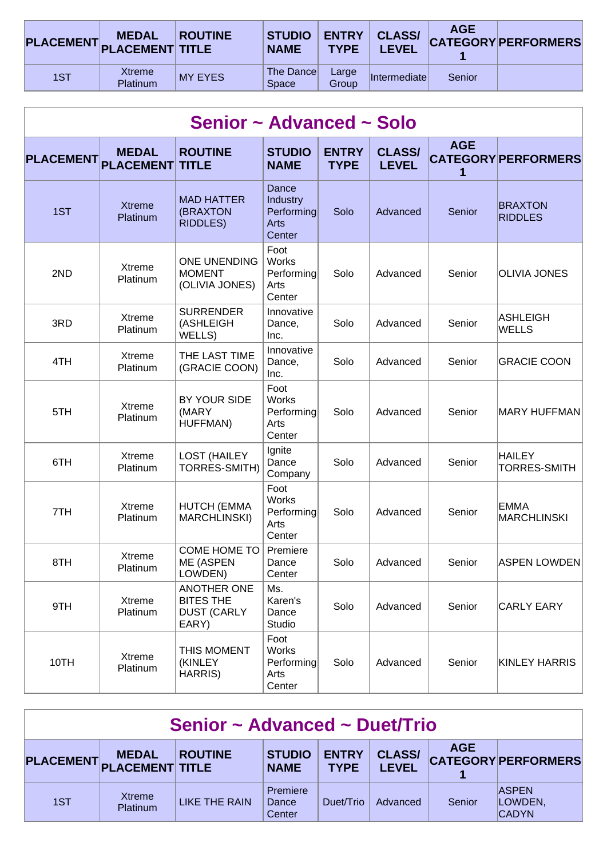| <b>PLACEMENT</b> PLACEMENT TITLE | <b>MEDAL</b>                     | <b>ROUTINE</b> | <b>STUDIO</b><br><b>NAME</b>      | <b>ENTRY</b><br><b>TYPE</b> | <b>CLASS/</b><br><b>LEVEL</b> | <b>AGE</b> | <b>CATEGORY PERFORMERS</b> |
|----------------------------------|----------------------------------|----------------|-----------------------------------|-----------------------------|-------------------------------|------------|----------------------------|
| 1ST                              | <b>Xtreme</b><br><b>Platinum</b> | <b>MY EYES</b> | <b>The Dancel</b><br><b>Space</b> | Large<br>Group              | Intermediate                  | Senior     |                            |

| Senior ~ Advanced ~ Solo |                                  |                                                                       |                                                                 |                             |                               |                 |                                      |  |  |  |
|--------------------------|----------------------------------|-----------------------------------------------------------------------|-----------------------------------------------------------------|-----------------------------|-------------------------------|-----------------|--------------------------------------|--|--|--|
| <b>PLACEMENT</b>         | <b>MEDAL</b><br><b>PLACEMENT</b> | <b>ROUTINE</b><br><b>TITLE</b>                                        | <b>STUDIO</b><br><b>NAME</b>                                    | <b>ENTRY</b><br><b>TYPE</b> | <b>CLASS/</b><br><b>LEVEL</b> | <b>AGE</b><br>1 | <b>CATEGORY PERFORMERS</b>           |  |  |  |
| 1ST                      | <b>Xtreme</b><br>Platinum        | <b>MAD HATTER</b><br>(BRAXTON<br>RIDDLES)                             | <b>Dance</b><br>Industry<br>Performing<br><b>Arts</b><br>Center | Solo                        | Advanced                      | Senior          | <b>BRAXTON</b><br><b>RIDDLES</b>     |  |  |  |
| 2ND                      | Xtreme<br>Platinum               | <b>ONE UNENDING</b><br><b>MOMENT</b><br>(OLIVIA JONES)                | Foot<br>Works<br>Performing<br>Arts<br>Center                   | Solo                        | Advanced                      | Senior          | <b>OLIVIA JONES</b>                  |  |  |  |
| 3RD                      | Xtreme<br>Platinum               | <b>SURRENDER</b><br>(ASHLEIGH<br>WELLS)                               | Innovative<br>Dance,<br>Inc.                                    | Solo                        | Advanced                      | Senior          | <b>ASHLEIGH</b><br><b>WELLS</b>      |  |  |  |
| 4TH                      | Xtreme<br>Platinum               | THE LAST TIME<br>(GRACIE COON)                                        | Innovative<br>Dance,<br>Inc.                                    | Solo                        | Advanced                      | Senior          | <b>GRACIE COON</b>                   |  |  |  |
| 5TH                      | Xtreme<br>Platinum               | BY YOUR SIDE<br>(MARY<br>HUFFMAN)                                     | Foot<br><b>Works</b><br>Performing<br>Arts<br>Center            | Solo                        | Advanced                      | Senior          | <b>MARY HUFFMAN</b>                  |  |  |  |
| 6TH                      | Xtreme<br>Platinum               | <b>LOST (HAILEY</b><br>TORRES-SMITH)                                  | Ignite<br>Dance<br>Company                                      | Solo                        | Advanced                      | Senior          | <b>HAILEY</b><br><b>TORRES-SMITH</b> |  |  |  |
| 7TH                      | Xtreme<br>Platinum               | <b>HUTCH (EMMA</b><br><b>MARCHLINSKI)</b>                             | Foot<br><b>Works</b><br>Performing<br>Arts<br>Center            | Solo                        | Advanced                      | Senior          | <b>EMMA</b><br><b>MARCHLINSKI</b>    |  |  |  |
| 8TH                      | <b>Xtreme</b><br>Platinum        | COME HOME TO<br>ME (ASPEN<br>LOWDEN)                                  | Premiere<br>Dance<br>Center                                     | Solo                        | Advanced                      | Senior          | <b>ASPEN LOWDEN</b>                  |  |  |  |
| 9TH                      | Xtreme<br>Platinum               | <b>ANOTHER ONE</b><br><b>BITES THE</b><br><b>DUST (CARLY</b><br>EARY) | Ms.<br>Karen's<br>Dance<br>Studio                               | Solo                        | Advanced                      | Senior          | <b>CARLY EARY</b>                    |  |  |  |
| 10TH                     | Xtreme<br>Platinum               | THIS MOMENT<br>(KINLEY<br>HARRIS)                                     | Foot<br><b>Works</b><br>Performing<br>Arts<br>Center            | Solo                        | Advanced                      | Senior          | <b>KINLEY HARRIS</b>                 |  |  |  |

| Senior ~ Advanced ~ Duet/Trio |                                           |                |                              |                             |                               |            |                                         |  |  |
|-------------------------------|-------------------------------------------|----------------|------------------------------|-----------------------------|-------------------------------|------------|-----------------------------------------|--|--|
|                               | <b>MEDAL</b><br>PLACEMENT PLACEMENT TITLE | <b>ROUTINE</b> | <b>STUDIO</b><br><b>NAME</b> | <b>ENTRY</b><br><b>TYPE</b> | <b>CLASS/</b><br><b>LEVEL</b> | <b>AGE</b> | <b>CATEGORY PERFORMERS</b>              |  |  |
| 1ST                           | Xtreme<br>Platinum                        | LIKE THE RAIN  | Premiere<br>Dance<br>Center  | Duet/Trio                   | Advanced                      | Senior     | <b>ASPEN</b><br>LOWDEN,<br><b>CADYN</b> |  |  |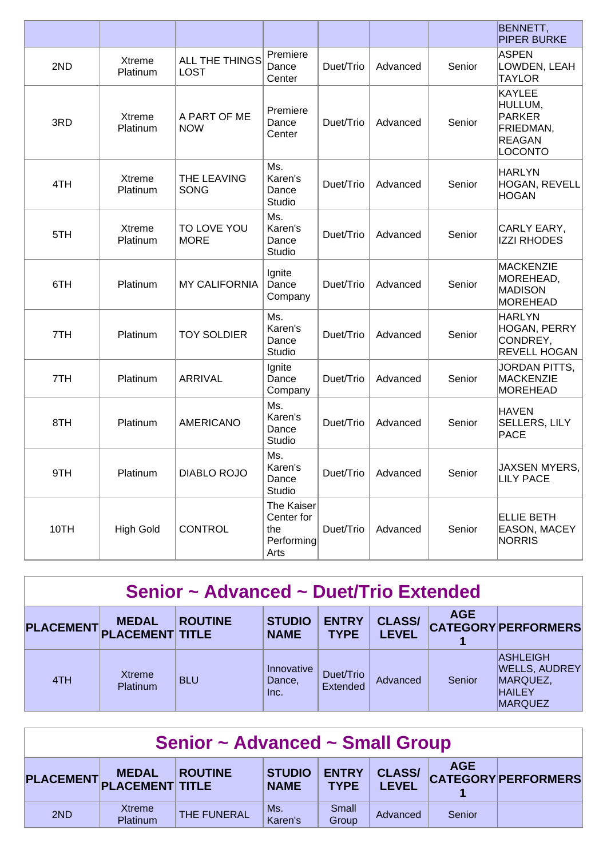|      |                    |                               |                                                       |           |          |        | <b>BENNETT,</b><br><b>PIPER BURKE</b>                                                     |
|------|--------------------|-------------------------------|-------------------------------------------------------|-----------|----------|--------|-------------------------------------------------------------------------------------------|
| 2ND  | Xtreme<br>Platinum | ALL THE THINGS<br><b>LOST</b> | Premiere<br>Dance<br>Center                           | Duet/Trio | Advanced | Senior | <b>ASPEN</b><br>LOWDEN, LEAH<br><b>TAYLOR</b>                                             |
| 3RD  | Xtreme<br>Platinum | A PART OF ME<br><b>NOW</b>    | Premiere<br>Dance<br>Center                           | Duet/Trio | Advanced | Senior | <b>KAYLEE</b><br>HULLUM,<br><b>PARKER</b><br>FRIEDMAN,<br><b>REAGAN</b><br><b>LOCONTO</b> |
| 4TH  | Xtreme<br>Platinum | THE LEAVING<br><b>SONG</b>    | Ms.<br>Karen's<br>Dance<br>Studio                     | Duet/Trio | Advanced | Senior | <b>HARLYN</b><br>HOGAN, REVELL<br><b>HOGAN</b>                                            |
| 5TH  | Xtreme<br>Platinum | TO LOVE YOU<br><b>MORE</b>    | Ms.<br>Karen's<br>Dance<br>Studio                     | Duet/Trio | Advanced | Senior | CARLY EARY,<br><b>IZZI RHODES</b>                                                         |
| 6TH  | Platinum           | <b>MY CALIFORNIA</b>          | Ignite<br>Dance<br>Company                            | Duet/Trio | Advanced | Senior | <b>MACKENZIE</b><br>MOREHEAD,<br><b>MADISON</b><br><b>MOREHEAD</b>                        |
| 7TH  | Platinum           | <b>TOY SOLDIER</b>            | Ms.<br>Karen's<br>Dance<br>Studio                     | Duet/Trio | Advanced | Senior | <b>HARLYN</b><br>HOGAN, PERRY<br>CONDREY,<br><b>REVELL HOGAN</b>                          |
| 7TH  | Platinum           | <b>ARRIVAL</b>                | Ignite<br>Dance<br>Company                            | Duet/Trio | Advanced | Senior | <b>JORDAN PITTS,</b><br><b>MACKENZIE</b><br><b>MOREHEAD</b>                               |
| 8TH  | Platinum           | <b>AMERICANO</b>              | Ms.<br>Karen's<br>Dance<br>Studio                     | Duet/Trio | Advanced | Senior | HAVEN<br>SELLERS, LILY<br><b>PACE</b>                                                     |
| 9TH  | Platinum           | <b>DIABLO ROJO</b>            | Ms.<br>Karen's<br>Dance<br>Studio                     | Duet/Trio | Advanced | Senior | JAXSEN MYERS,<br><b>LILY PACE</b>                                                         |
| 10TH | <b>High Gold</b>   | <b>CONTROL</b>                | The Kaiser<br>Center for<br>the<br>Performing<br>Arts | Duet/Trio | Advanced | Senior | <b>ELLIE BETH</b><br>EASON, MACEY<br>NORRIS                                               |

| Senior ~ Advanced ~ Duet/Trio Extended |                                           |                |                              |                             |                               |            |                                                                                        |  |  |  |
|----------------------------------------|-------------------------------------------|----------------|------------------------------|-----------------------------|-------------------------------|------------|----------------------------------------------------------------------------------------|--|--|--|
|                                        | <b>MEDAL</b><br>PLACEMENT PLACEMENT TITLE | <b>ROUTINE</b> | <b>STUDIO</b><br><b>NAME</b> | <b>ENTRY</b><br><b>TYPE</b> | <b>CLASS/</b><br><b>LEVEL</b> | <b>AGE</b> | <b>CATEGORY PERFORMERS</b>                                                             |  |  |  |
| 4TH                                    | <b>Xtreme</b><br>Platinum                 | <b>BLU</b>     | Innovative<br>Dance,<br>Inc. | Duet/Trio<br>Extended       | Advanced                      | Senior     | <b>ASHLEIGH</b><br><b>WELLS, AUDREY</b><br>MARQUEZ,<br><b>HAILEY</b><br><b>MARQUEZ</b> |  |  |  |

| Senior ~ Advanced ~ Small Group |                    |                |                              |                             |                               |            |                            |  |  |
|---------------------------------|--------------------|----------------|------------------------------|-----------------------------|-------------------------------|------------|----------------------------|--|--|
| PLACEMENT PLACEMENT TITLE       | <b>MEDAL</b>       | <b>ROUTINE</b> | <b>STUDIO</b><br><b>NAME</b> | <b>ENTRY</b><br><b>TYPE</b> | <b>CLASS/</b><br><b>LEVEL</b> | <b>AGE</b> | <b>CATEGORY PERFORMERS</b> |  |  |
| 2ND                             | Xtreme<br>Platinum | THE FUNERAL    | Ms.<br>Karen's               | Small<br>Group              | Advanced                      | Senior     |                            |  |  |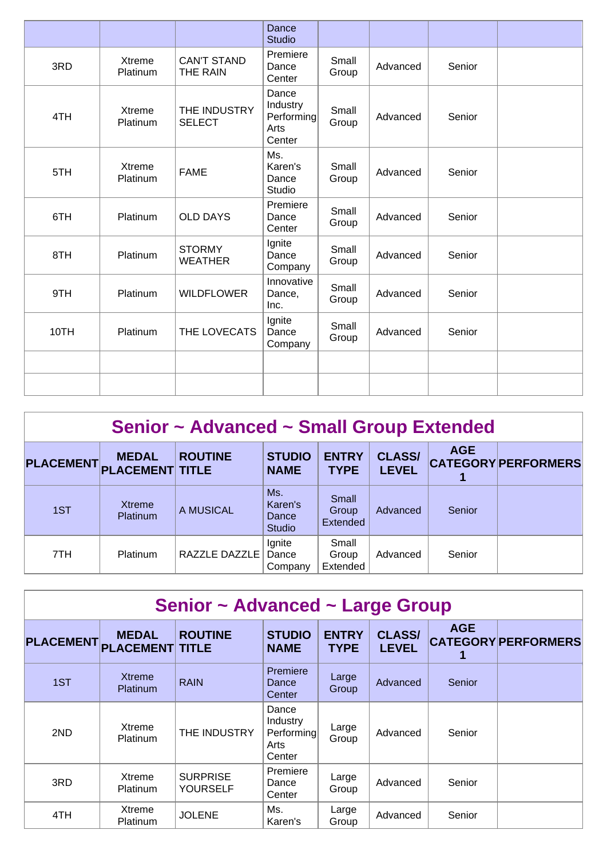|      |                    |                                 | Dance<br><b>Studio</b>                            |                |          |        |  |
|------|--------------------|---------------------------------|---------------------------------------------------|----------------|----------|--------|--|
| 3RD  | Xtreme<br>Platinum | <b>CAN'T STAND</b><br>THE RAIN  | Premiere<br>Dance<br>Center                       | Small<br>Group | Advanced | Senior |  |
| 4TH  | Xtreme<br>Platinum | THE INDUSTRY<br><b>SELECT</b>   | Dance<br>Industry<br>Performing<br>Arts<br>Center | Small<br>Group | Advanced | Senior |  |
| 5TH  | Xtreme<br>Platinum | <b>FAME</b>                     | Ms.<br>Karen's<br>Dance<br>Studio                 | Small<br>Group | Advanced | Senior |  |
| 6TH  | Platinum           | <b>OLD DAYS</b>                 | Premiere<br>Dance<br>Center                       | Small<br>Group | Advanced | Senior |  |
| 8TH  | Platinum           | <b>STORMY</b><br><b>WEATHER</b> | Ignite<br>Dance<br>Company                        | Small<br>Group | Advanced | Senior |  |
| 9TH  | Platinum           | <b>WILDFLOWER</b>               | Innovative<br>Dance,<br>Inc.                      | Small<br>Group | Advanced | Senior |  |
| 10TH | Platinum           | THE LOVECATS                    | Ignite<br>Dance<br>Company                        | Small<br>Group | Advanced | Senior |  |
|      |                    |                                 |                                                   |                |          |        |  |
|      |                    |                                 |                                                   |                |          |        |  |

| Senior ~ Advanced ~ Small Group Extended |                                        |                |                                          |                             |                               |            |                            |  |  |  |
|------------------------------------------|----------------------------------------|----------------|------------------------------------------|-----------------------------|-------------------------------|------------|----------------------------|--|--|--|
| <b>PLACEMENT</b>                         | <b>MEDAL</b><br><b>PLACEMENT TITLE</b> | <b>ROUTINE</b> | <b>STUDIO</b><br><b>NAME</b>             | <b>ENTRY</b><br><b>TYPE</b> | <b>CLASS/</b><br><b>LEVEL</b> | <b>AGE</b> | <b>CATEGORY PERFORMERS</b> |  |  |  |
| 1ST                                      | <b>Xtreme</b><br>Platinum              | A MUSICAL      | Ms.<br>Karen's<br>Dance<br><b>Studio</b> | Small<br>Group<br>Extended  | Advanced                      | Senior     |                            |  |  |  |
| 7TH                                      | Platinum                               | RAZZLE DAZZLE  | Ignite<br>Dance<br>Company               | Small<br>Group<br>Extended  | Advanced                      | Senior     |                            |  |  |  |

| Senior ~ Advanced ~ Large Group |                                        |                                    |                                                   |                             |                               |                 |                            |  |  |  |
|---------------------------------|----------------------------------------|------------------------------------|---------------------------------------------------|-----------------------------|-------------------------------|-----------------|----------------------------|--|--|--|
| <b>PLACEMENT</b>                | <b>MEDAL</b><br><b>PLACEMENT TITLE</b> | <b>ROUTINE</b>                     | <b>STUDIO</b><br><b>NAME</b>                      | <b>ENTRY</b><br><b>TYPE</b> | <b>CLASS/</b><br><b>LEVEL</b> | <b>AGE</b><br>1 | <b>CATEGORY PERFORMERS</b> |  |  |  |
| 1ST                             | <b>Xtreme</b><br><b>Platinum</b>       | <b>RAIN</b>                        | Premiere<br>Dance<br>Center                       | Large<br>Group              | Advanced                      | Senior          |                            |  |  |  |
| 2ND                             | Xtreme<br><b>Platinum</b>              | THE INDUSTRY                       | Dance<br>Industry<br>Performing<br>Arts<br>Center | Large<br>Group              | Advanced                      | Senior          |                            |  |  |  |
| 3RD                             | Xtreme<br>Platinum                     | <b>SURPRISE</b><br><b>YOURSELF</b> | Premiere<br>Dance<br>Center                       | Large<br>Group              | Advanced                      | Senior          |                            |  |  |  |
| 4TH                             | Xtreme<br>Platinum                     | <b>JOLENE</b>                      | Ms.<br>Karen's                                    | Large<br>Group              | Advanced                      | Senior          |                            |  |  |  |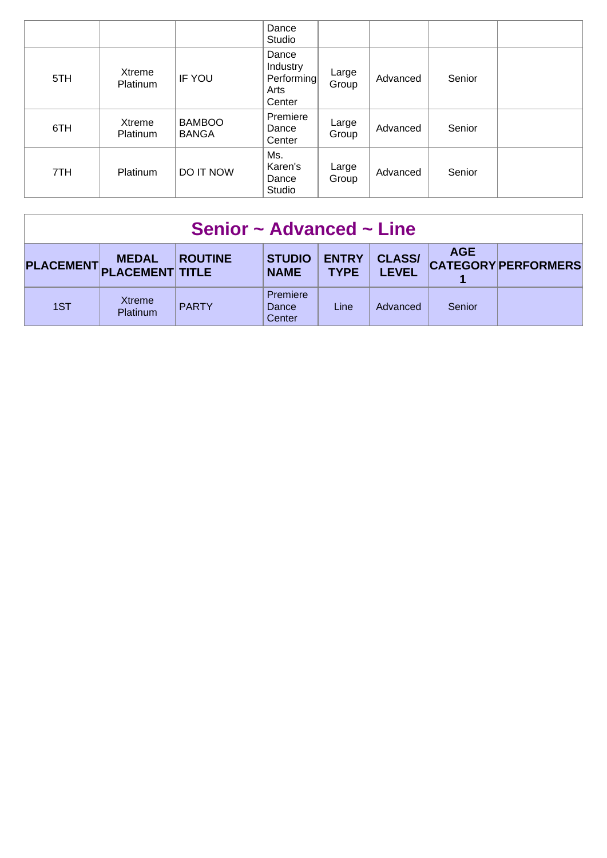|     |                    |                               | Dance<br>Studio                                   |                |          |        |  |
|-----|--------------------|-------------------------------|---------------------------------------------------|----------------|----------|--------|--|
| 5TH | Xtreme<br>Platinum | <b>IF YOU</b>                 | Dance<br>Industry<br>Performing<br>Arts<br>Center | Large<br>Group | Advanced | Senior |  |
| 6TH | Xtreme<br>Platinum | <b>BAMBOO</b><br><b>BANGA</b> | Premiere<br>Dance<br>Center                       | Large<br>Group | Advanced | Senior |  |
| 7TH | Platinum           | <b>DO IT NOW</b>              | Ms.<br>Karen's<br>Dance<br>Studio                 | Large<br>Group | Advanced | Senior |  |

| Senior $\sim$ Advanced $\sim$ Line |                                        |                |                              |                             |                               |            |                            |
|------------------------------------|----------------------------------------|----------------|------------------------------|-----------------------------|-------------------------------|------------|----------------------------|
| PLACEMENT.                         | <b>MEDAL</b><br><b>PLACEMENT TITLE</b> | <b>ROUTINE</b> | <b>STUDIO</b><br><b>NAME</b> | <b>ENTRY</b><br><b>TYPE</b> | <b>CLASS/</b><br><b>LEVEL</b> | <b>AGE</b> | <b>CATEGORY PERFORMERS</b> |
| 1ST                                | Xtreme<br><b>Platinum</b>              | <b>PARTY</b>   | Premiere<br>Dance<br>Center  | Line                        | Advanced                      | Senior     |                            |